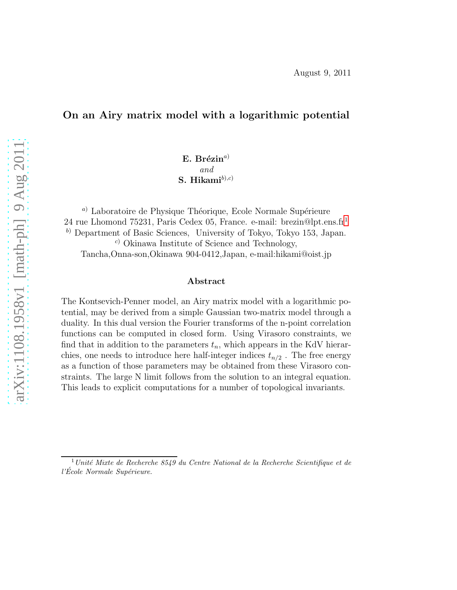### On an Airy matrix model with a logarithmic potential

 $E.$  Brézin<sup>a)</sup> and S. Hikami $^{(b),c)}$ 

<sup>a)</sup> Laboratoire de Physique Théorique, Ecole Normale Supérieure 24 rue Lhomond 75231, Paris Cedex 05, France. e-mail: brezin@lpt.ens.fr[1](#page-0-0)  $\alpha$ <sup>b)</sup> Department of Basic Sciences, University of Tokyo, Tokyo 153, Japan. <sup>c</sup>) Okinawa Institute of Science and Technology, Tancha,Onna-son,Okinawa 904-0412,Japan, e-mail:hikami@oist.jp

#### Abstract

The Kontsevich-Penner model, an Airy matrix model with a logarithmic potential, may be derived from a simple Gaussian two-matrix model through a duality. In this dual version the Fourier transforms of the n-point correlation functions can be computed in closed form. Using Virasoro constraints, we find that in addition to the parameters  $t_n$ , which appears in the KdV hierarchies, one needs to introduce here half-integer indices  $t_{n/2}$ . The free energy as a function of those parameters may be obtained from these Virasoro constraints. The large N limit follows from the solution to an integral equation. This leads to explicit computations for a number of topological invariants.

<span id="page-0-0"></span> $\frac{1}{1}$ Unité Mixte de Recherche 8549 du Centre National de la Recherche Scientifique et de  $l'École Normale Supérieure.$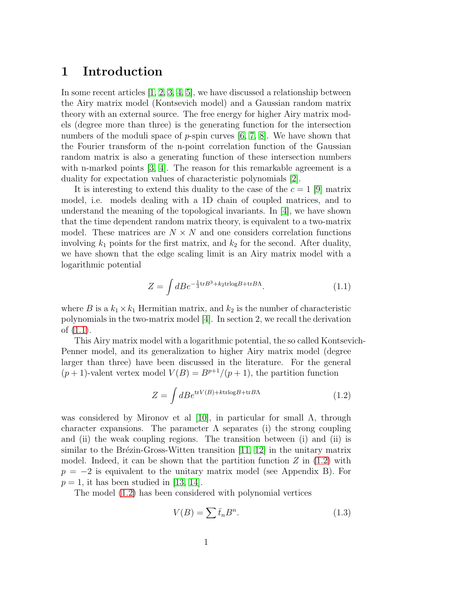## 1 Introduction

In some recent articles  $[1, 2, 3, 4, 5]$  $[1, 2, 3, 4, 5]$  $[1, 2, 3, 4, 5]$  $[1, 2, 3, 4, 5]$  $[1, 2, 3, 4, 5]$ , we have discussed a relationship between the Airy matrix model (Kontsevich model) and a Gaussian random matrix theory with an external source. The free energy for higher Airy matrix models (degree more than three) is the generating function for the intersection numbers of the moduli space of p-spin curves  $[6, 7, 8]$  $[6, 7, 8]$  $[6, 7, 8]$ . We have shown that the Fourier transform of the n-point correlation function of the Gaussian random matrix is also a generating function of these intersection numbers with n-marked points [\[3,](#page-33-2) [4\]](#page-33-3). The reason for this remarkable agreement is a duality for expectation values of characteristic polynomials [\[2\]](#page-33-1).

It is interesting to extend this duality to the case of the  $c = 1$  [\[9\]](#page-33-8) matrix model, i.e. models dealing with a 1D chain of coupled matrices, and to understand the meaning of the topological invariants. In  $[4]$ , we have shown that the time dependent random matrix theory, is equivalent to a two-matrix model. These matrices are  $N \times N$  and one considers correlation functions involving  $k_1$  points for the first matrix, and  $k_2$  for the second. After duality, we have shown that the edge scaling limit is an Airy matrix model with a logarithmic potential

<span id="page-1-0"></span>
$$
Z = \int dB e^{-\frac{1}{3}\text{tr}B^3 + k_2 \text{trlog}B + \text{tr}B\Lambda}.
$$
 (1.1)

where B is a  $k_1 \times k_1$  Hermitian matrix, and  $k_2$  is the number of characteristic polynomials in the two-matrix model [\[4\]](#page-33-3). In section 2, we recall the derivation of [\(1.1\)](#page-1-0).

This Airy matrix model with a logarithmic potential, the so called Kontsevich-Penner model, and its generalization to higher Airy matrix model (degree larger than three) have been discussed in the literature. For the general  $(p+1)$ -valent vertex model  $V(B) = B^{p+1}/(p+1)$ , the partition function

<span id="page-1-1"></span>
$$
Z = \int dBe^{\text{tr}V(B) + k\text{trlog}B + \text{tr}B\Lambda} \tag{1.2}
$$

was considered by Mironov et al [\[10\]](#page-33-9), in particular for small Λ, through character expansions. The parameter  $\Lambda$  separates (i) the strong coupling and (ii) the weak coupling regions. The transition between (i) and (ii) is similar to the Brézin-Gross-Witten transition  $[11, 12]$  $[11, 12]$  in the unitary matrix model. Indeed, it can be shown that the partition function  $Z$  in  $(1.2)$  with  $p = -2$  is equivalent to the unitary matrix model (see Appendix B). For  $p = 1$ , it has been studied in [\[13,](#page-33-12) [14\]](#page-33-13).

The model [\(1.2\)](#page-1-1) has been considered with polynomial vertices

$$
V(B) = \sum \bar{t}_n B^n.
$$
\n(1.3)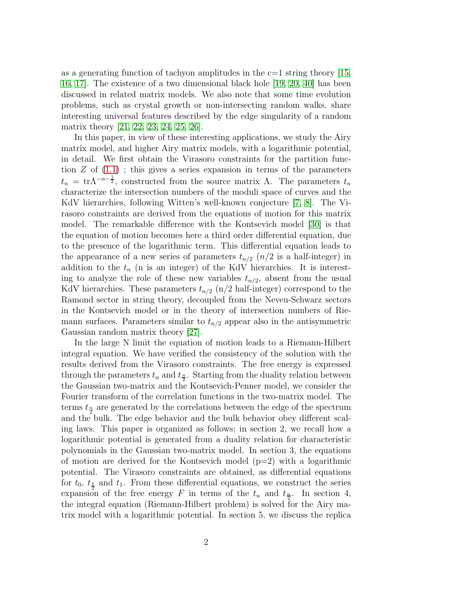as a generating function of tachyon amplitudes in the  $c=1$  string theory [\[15,](#page-34-0) [16,](#page-34-1) [17\]](#page-34-2). The existence of a two dimensional black hole [\[19,](#page-34-3) [20,](#page-34-4) [40\]](#page-35-0) has been discussed in related matrix models. We also note that some time evolution problems, such as crystal growth or non-intersecting random walks, share interesting universal features described by the edge singularity of a random matrix theory [\[21,](#page-34-5) [22,](#page-34-6) [23,](#page-34-7) [24,](#page-34-8) [25,](#page-34-9) [26\]](#page-34-10).

In this paper, in view of these interesting applications, we study the Airy matrix model, and higher Airy matrix models, with a logarithmic potential, in detail. We first obtain the Virasoro constraints for the partition function  $Z$  of  $(1.1)$ ; this gives a series expansion in terms of the parameters  $t_n = \text{tr} \Lambda^{-n-\frac{1}{2}}$ , constructed from the source matrix  $\Lambda$ . The parameters  $t_n$ characterize the intersection numbers of the moduli space of curves and the KdV hierarchies, following Witten's well-known conjecture [\[7,](#page-33-6) [8\]](#page-33-7). The Virasoro constraints are derived from the equations of motion for this matrix model. The remarkable difference with the Kontsevich model [\[30\]](#page-35-1) is that the equation of motion becomes here a third order differential equation, due to the presence of the logarithmic term. This differential equation leads to the appearance of a new series of parameters  $t_{n/2}$  ( $n/2$  is a half-integer) in addition to the  $t_n$  (n is an integer) of the KdV hierarchies. It is interesting to analyze the role of these new variables  $t_{n/2}$ , absent from the usual KdV hierarchies. These parameters  $t_{n/2}$  (n/2 half-integer) correspond to the Ramond sector in string theory, decoupled from the Neveu-Schwarz sectors in the Kontsevich model or in the theory of intersection numbers of Riemann surfaces. Parameters similar to  $t_{n/2}$  appear also in the antisymmetric Gaussian random matrix theory [\[27\]](#page-34-11).

In the large N limit the equation of motion leads to a Riemann-Hilbert integral equation. We have verified the consistency of the solution with the results derived from the Virasoro constraints. The free energy is expressed through the parameters  $t_n$  and  $t_{\frac{n}{2}}$ . Starting from the duality relation between the Gaussian two-matrix and the Kontsevich-Penner model, we consider the Fourier transform of the correlation functions in the two-matrix model. The terms  $t_{\frac{n}{2}}$  are generated by the correlations between the edge of the spectrum and the bulk. The edge behavior and the bulk behavior obey different scaling laws. This paper is organized as follows; in section 2, we recall how a logarithmic potential is generated from a duality relation for characteristic polynomials in the Gaussian two-matrix model. In section 3, the equations of motion are derived for the Kontsevich model  $(p=2)$  with a logarithmic potential. The Virasoro constraints are obtained, as differential equations for  $t_0$ ,  $t_{\frac{1}{2}}$  and  $t_1$ . From these differential equations, we construct the series expansion of the free energy F in terms of the  $t_n$  and  $t_{\frac{n}{2}}$ . In section 4, the integral equation (Riemann-Hilbert problem) is solved for the Airy matrix model with a logarithmic potential. In section 5, we discuss the replica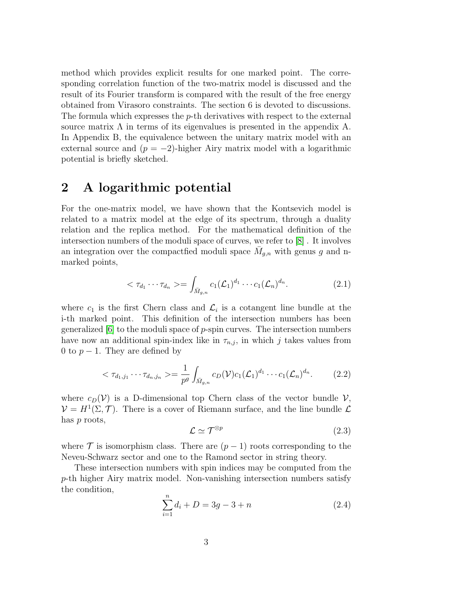method which provides explicit results for one marked point. The corresponding correlation function of the two-matrix model is discussed and the result of its Fourier transform is compared with the result of the free energy obtained from Virasoro constraints. The section 6 is devoted to discussions. The formula which expresses the  $p$ -th derivatives with respect to the external source matrix  $\Lambda$  in terms of its eigenvalues is presented in the appendix A. In Appendix B, the equivalence between the unitary matrix model with an external source and  $(p = -2)$ -higher Airy matrix model with a logarithmic potential is briefly sketched.

## 2 A logarithmic potential

For the one-matrix model, we have shown that the Kontsevich model is related to a matrix model at the edge of its spectrum, through a duality relation and the replica method. For the mathematical definition of the intersection numbers of the moduli space of curves, we refer to [\[8\]](#page-33-7) . It involves an integration over the compactfied moduli space  $\bar{M}_{g,n}$  with genus g and nmarked points,

<span id="page-3-0"></span>
$$
\langle \tau_{d_1} \cdots \tau_{d_n} \rangle = \int_{\bar{M}_{g,n}} c_1(\mathcal{L}_1)^{d_1} \cdots c_1(\mathcal{L}_n)^{d_n}.
$$
 (2.1)

where  $c_1$  is the first Chern class and  $\mathcal{L}_i$  is a cotangent line bundle at the i-th marked point. This definition of the intersection numbers has been generalized  $\vert 6 \vert$  to the moduli space of p-spin curves. The intersection numbers have now an additional spin-index like in  $\tau_{n,j}$ , in which j takes values from 0 to  $p-1$ . They are defined by

$$
\langle \tau_{d_1,j_1} \cdots \tau_{d_n,j_n} \rangle = \frac{1}{p^g} \int_{\bar{M}_{g,n}} c_D(\mathcal{V}) c_1(\mathcal{L}_1)^{d_1} \cdots c_1(\mathcal{L}_n)^{d_n}.
$$
 (2.2)

where  $c_D(\mathcal{V})$  is a D-dimensional top Chern class of the vector bundle  $\mathcal{V}$ ,  $\mathcal{V} = H^1(\Sigma, \mathcal{T})$ . There is a cover of Riemann surface, and the line bundle  $\mathcal{L}$ has p roots,

$$
\mathcal{L} \simeq \mathcal{T}^{\otimes p} \tag{2.3}
$$

where  $\mathcal T$  is isomorphism class. There are  $(p-1)$  roots corresponding to the Neveu-Schwarz sector and one to the Ramond sector in string theory.

These intersection numbers with spin indices may be computed from the p-th higher Airy matrix model. Non-vanishing intersection numbers satisfy the condition,

$$
\sum_{i=1}^{n} d_i + D = 3g - 3 + n \tag{2.4}
$$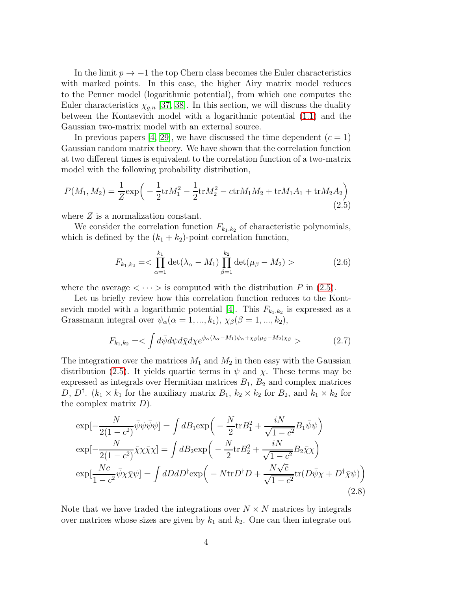In the limit  $p \to -1$  the top Chern class becomes the Euler characteristics with marked points. In this case, the higher Airy matrix model reduces to the Penner model (logarithmic potential), from which one computes the Euler characteristics  $\chi_{q,n}$  [\[37,](#page-35-2) [38\]](#page-35-3). In this section, we will discuss the duality between the Kontsevich model with a logarithmic potential [\(1.1\)](#page-1-0) and the Gaussian two-matrix model with an external source.

In previous papers [\[4,](#page-33-3) [29\]](#page-35-4), we have discussed the time dependent  $(c = 1)$ Gaussian random matrix theory. We have shown that the correlation function at two different times is equivalent to the correlation function of a two-matrix model with the following probability distribution,

<span id="page-4-0"></span>
$$
P(M_1, M_2) = \frac{1}{Z} \exp\left(-\frac{1}{2} \text{tr} M_1^2 - \frac{1}{2} \text{tr} M_2^2 - \text{tr} M_1 M_2 + \text{tr} M_1 A_1 + \text{tr} M_2 A_2\right)
$$
\n(2.5)

where  $Z$  is a normalization constant.

We consider the correlation function  $F_{k_1,k_2}$  of characteristic polynomials, which is defined by the  $(k_1 + k_2)$ -point correlation function,

$$
F_{k_1,k_2} = \frac{k_1}{\alpha - 1} \det(\lambda_{\alpha} - M_1) \prod_{\beta=1}^{k_2} \det(\mu_{\beta} - M_2) > \tag{2.6}
$$

where the average  $\langle \cdots \rangle$  is computed with the distribution P in [\(2.5\)](#page-4-0).

Let us briefly review how this correlation function reduces to the Kont-sevich model with a logarithmic potential [\[4\]](#page-33-3). This  $F_{k_1,k_2}$  is expressed as a Grassmann integral over  $\psi_{\alpha}(\alpha = 1, ..., k_1), \chi_{\beta}(\beta = 1, ..., k_2),$ 

$$
F_{k_1,k_2} = \langle \int d\bar{\psi} d\psi d\bar{\chi} d\chi e^{\bar{\psi}_{\alpha}(\lambda_{\alpha} - M_1)\psi_{\alpha} + \bar{\chi}_{\beta}(\mu_{\beta} - M_2)\chi_{\beta}} \rangle \tag{2.7}
$$

The integration over the matrices  $M_1$  and  $M_2$  in then easy with the Gaussian distribution [\(2.5\)](#page-4-0). It yields quartic terms in  $\psi$  and  $\chi$ . These terms may be expressed as integrals over Hermitian matrices  $B_1, B_2$  and complex matrices D,  $D^{\dagger}$ .  $(k_1 \times k_1$  for the auxiliary matrix  $B_1$ ,  $k_2 \times k_2$  for  $B_2$ , and  $k_1 \times k_2$  for the complex matrix  $D$ ).

$$
\exp[-\frac{N}{2(1-c^2)}\bar{\psi}\psi\bar{\psi}\psi] = \int dB_1 \exp\left(-\frac{N}{2}\text{tr}B_1^2 + \frac{iN}{\sqrt{1-c^2}}B_1\bar{\psi}\psi\right)
$$
  
\n
$$
\exp[-\frac{N}{2(1-c^2)}\bar{\chi}\chi\bar{\chi}\chi] = \int dB_2 \exp\left(-\frac{N}{2}\text{tr}B_2^2 + \frac{iN}{\sqrt{1-c^2}}B_2\bar{\chi}\chi\right)
$$
  
\n
$$
\exp[\frac{Nc}{1-c^2}\bar{\psi}\chi\bar{\chi}\psi] = \int dD dD^{\dagger} \exp\left(-N\text{tr}D^{\dagger}D + \frac{N\sqrt{c}}{\sqrt{1-c^2}}\text{tr}(D\bar{\psi}\chi + D^{\dagger}\bar{\chi}\psi)\right)
$$
\n(2.8)

Note that we have traded the integrations over  $N \times N$  matrices by integrals over matrices whose sizes are given by  $k_1$  and  $k_2$ . One can then integrate out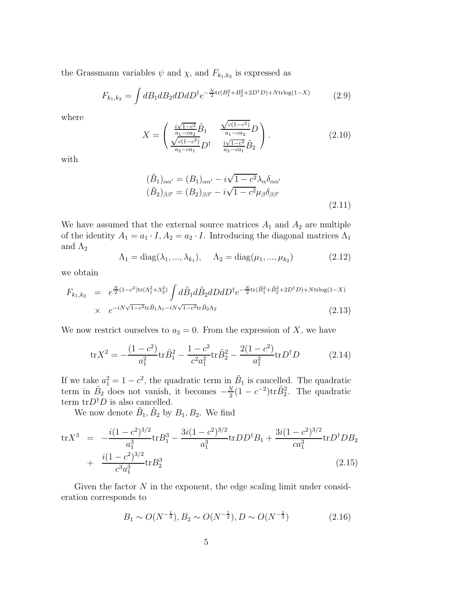the Grassmann variables  $\psi$  and  $\chi$ , and  $F_{k_1,k_2}$  is expressed as

$$
F_{k_1,k_2} = \int dB_1 dB_2 dDdD^{\dagger} e^{-\frac{N}{2}\text{tr}(B_1^2 + B_2^2 + 2D^{\dagger}D) + N\text{trlog}(1 - X)}
$$
(2.9)

where

$$
X = \begin{pmatrix} \frac{i\sqrt{1-c^2}}{a_1 - ca_2} \tilde{B}_1 & \frac{\sqrt{c(1-c^2)}}{a_1 - ca_2} D \\ \frac{\sqrt{c(1-c^2)}}{a_2 - ca_1} D^{\dagger} & \frac{i\sqrt{1-c^2}}{a_2 - ca_1} \tilde{B}_2 \end{pmatrix}.
$$
 (2.10)

with

$$
(\tilde{B}_1)_{\alpha\alpha'} = (B_1)_{\alpha\alpha'} - i\sqrt{1 - c^2} \lambda_\alpha \delta_{\alpha\alpha'}
$$
  

$$
(\tilde{B}_2)_{\beta\beta'} = (B_2)_{\beta\beta'} - i\sqrt{1 - c^2} \mu_\beta \delta_{\beta\beta'}
$$
\n(2.11)

We have assumed that the external source matrices  $A_1$  and  $A_2$  are multiple of the identity  $A_1 = a_1 \cdot I$ ,  $A_2 = a_2 \cdot I$ . Introducing the diagonal matrices  $\Lambda_1$ and  $\Lambda_2$ 

$$
\Lambda_1 = \text{diag}(\lambda_1, ..., \lambda_{k_1}), \quad \Lambda_2 = \text{diag}(\mu_1, ..., \mu_{k_2})
$$
\n(2.12)

we obtain

$$
F_{k_1,k_2} = e^{\frac{N}{2}(1-c^2)\text{tr}(\Lambda_1^2+\Lambda_2^2)} \int d\tilde{B}_1 d\tilde{B}_2 dD dD^{\dagger} e^{-\frac{N}{2}\text{tr}(\tilde{B}_1^2+\tilde{B}_2^2+2D^{\dagger}D)+N\text{trlog}(1-X)} \times e^{-iN\sqrt{1-c^2}\text{tr}\tilde{B}_1\Lambda_1 - iN\sqrt{1-c^2}\text{tr}\tilde{B}_2\Lambda_2}
$$
\n(2.13)

We now restrict ourselves to  $a_2 = 0$ . From the expression of X, we have

$$
\text{tr}X^2 = -\frac{(1-c^2)}{a_1^2} \text{tr}\tilde{B}_1^2 - \frac{1-c^2}{c^2 a_1^2} \text{tr}\tilde{B}_2^2 - \frac{2(1-c^2)}{a_1^2} \text{tr}D^{\dagger}D \tag{2.14}
$$

If we take  $a_1^2 = 1 - c^2$ , the quadratic term in  $\tilde{B}_1$  is cancelled. The quadratic term in  $\tilde{B}_2$  does not vanish, it becomes  $-\frac{N}{2}$  $\frac{N}{2}(1-c^{-2})\text{tr}\tilde{B}_2^2$ . The quadratic term  $tr D^{\dagger} D$  is also cancelled.

We now denote  $\tilde{B}_1$ ,  $\tilde{B}_2$  by  $B_1$ ,  $B_2$ . We find

$$
\text{tr}X^3 = -\frac{i(1-c^2)^{3/2}}{a_1^3} \text{tr}B_1^3 - \frac{3i(1-c^2)^{3/2}}{a_1^3} \text{tr}DD^{\dagger}B_1 + \frac{3i(1-c^2)^{3/2}}{ca_1^3} \text{tr}D^{\dagger}DB_2
$$
  
+ 
$$
\frac{i(1-c^2)^{3/2}}{c^3a_1^3} \text{tr}B_2^3 \tag{2.15}
$$

Given the factor  $N$  in the exponent, the edge scaling limit under consideration corresponds to

<span id="page-5-0"></span>
$$
B_1 \sim O(N^{-\frac{1}{3}}), B_2 \sim O(N^{-\frac{1}{2}}), D \sim O(N^{-\frac{1}{3}})
$$
 (2.16)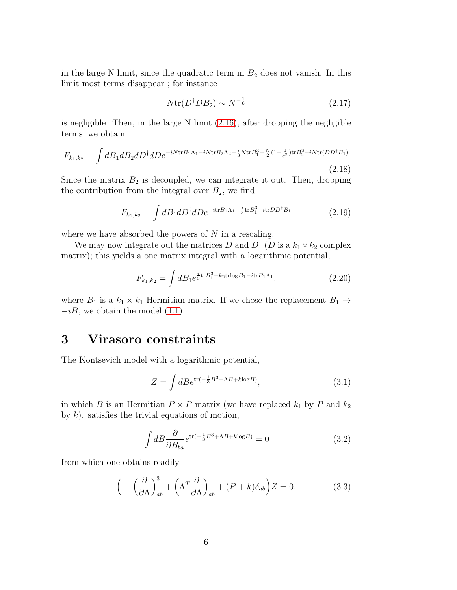in the large N limit, since the quadratic term in  $B_2$  does not vanish. In this limit most terms disappear ; for instance

$$
N \text{tr}(D^{\dagger} D B_2) \sim N^{-\frac{1}{6}} \tag{2.17}
$$

is negligible. Then, in the large  $N$  limit  $(2.16)$ , after dropping the negligible terms, we obtain

$$
F_{k_1,k_2} = \int dB_1 dB_2 dD^{\dagger} dD e^{-iN \text{tr} B_1 \Lambda_1 - iN \text{tr} B_2 \Lambda_2 + \frac{i}{3} N \text{tr} B_1^3 - \frac{N}{2} (1 - \frac{1}{c^2}) \text{tr} B_2^2 + iN \text{tr}(DD^{\dagger} B_1)}
$$
\n(2.18)

Since the matrix  $B_2$  is decoupled, we can integrate it out. Then, dropping the contribution from the integral over  $B_2$ , we find

$$
F_{k_1,k_2} = \int dB_1 dD^{\dagger} dD e^{-itrB_1\Lambda_1 + \frac{i}{3}trB_1^3 + itrDD^{\dagger}B_1}
$$
 (2.19)

where we have absorbed the powers of  $N$  in a rescaling.

We may now integrate out the matrices D and  $D^{\dagger}$  (D is a  $k_1 \times k_2$  complex matrix); this yields a one matrix integral with a logarithmic potential,

$$
F_{k_1,k_2} = \int dB_1 e^{\frac{i}{3} \text{tr} B_1^3 - k_2 \text{tr} \log B_1 - i \text{tr} B_1 \Lambda_1}.
$$
 (2.20)

where  $B_1$  is a  $k_1 \times k_1$  Hermitian matrix. If we chose the replacement  $B_1 \rightarrow$  $-iB$ , we obtain the model  $(1.1)$ .

## 3 Virasoro constraints

The Kontsevich model with a logarithmic potential,

$$
Z = \int dB e^{\text{tr}\left(-\frac{1}{3}B^3 + \Lambda B + k \log B\right)},\tag{3.1}
$$

in which B is an Hermitian  $P \times P$  matrix (we have replaced  $k_1$  by P and  $k_2$ by  $k$ ). satisfies the trivial equations of motion,

$$
\int dB \frac{\partial}{\partial B_{ba}} e^{\text{tr}(-\frac{1}{3}B^3 + \Lambda B + k \log B)} = 0
$$
\n(3.2)

from which one obtains readily

$$
\left(-\left(\frac{\partial}{\partial \Lambda}\right)^3_{ab} + \left(\Lambda^T \frac{\partial}{\partial \Lambda}\right)_{ab} + (P+k)\delta_{ab}\right)Z = 0.
$$
 (3.3)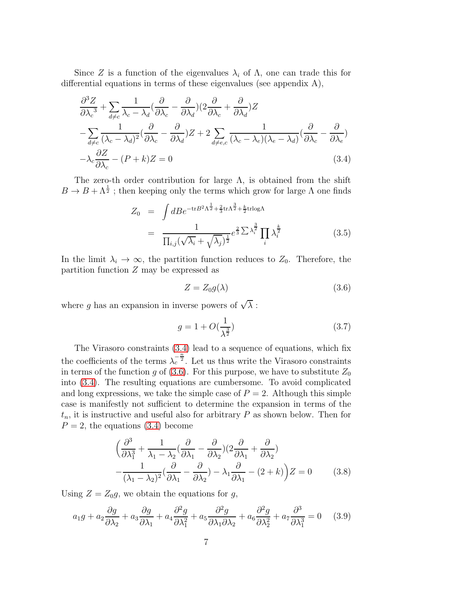Since Z is a function of the eigenvalues  $\lambda_i$  of  $\Lambda$ , one can trade this for differential equations in terms of these eigenvalues (see appendix A),

<span id="page-7-0"></span>
$$
\frac{\partial^3 Z}{\partial \lambda_c^3} + \sum_{d \neq c} \frac{1}{\lambda_c - \lambda_d} \left( \frac{\partial}{\partial \lambda_c} - \frac{\partial}{\partial \lambda_d} \right) \left( 2 \frac{\partial}{\partial \lambda_c} + \frac{\partial}{\partial \lambda_d} \right) Z \n- \sum_{d \neq c} \frac{1}{(\lambda_c - \lambda_d)^2} \left( \frac{\partial}{\partial \lambda_c} - \frac{\partial}{\partial \lambda_d} \right) Z + 2 \sum_{d \neq e, c} \frac{1}{(\lambda_c - \lambda_e)(\lambda_e - \lambda_d)} \left( \frac{\partial}{\partial \lambda_c} - \frac{\partial}{\partial \lambda_e} \right) \n- \lambda_c \frac{\partial Z}{\partial \lambda_c} - (P + k) Z = 0
$$
\n(3.4)

The zero-th order contribution for large  $\Lambda$ , is obtained from the shift  $B \to B + \Lambda^{\frac{1}{2}}$ ; then keeping only the terms which grow for large  $\Lambda$  one finds

<span id="page-7-3"></span>
$$
Z_0 = \int dB e^{-\text{tr}B^2 \Lambda^{\frac{1}{2}} + \frac{2}{3}\text{tr}\Lambda^{\frac{3}{2}} + \frac{k}{2}\text{trlog}\Lambda}
$$
  

$$
= \frac{1}{\prod_{i,j} (\sqrt{\lambda_i} + \sqrt{\lambda_j})^{\frac{1}{2}}} e^{\frac{2}{3}\sum \lambda_i^{\frac{3}{2}}} \prod_i \lambda_i^{\frac{k}{2}}
$$
(3.5)

In the limit  $\lambda_i \to \infty$ , the partition function reduces to  $Z_0$ . Therefore, the partition function  $Z$  may be expressed as

<span id="page-7-1"></span>
$$
Z = Z_0 g(\lambda) \tag{3.6}
$$

where g has an expansion in inverse powers of  $\sqrt{\lambda}$ :

$$
g = 1 + O(\frac{1}{\lambda^{\frac{3}{2}}})
$$
\n(3.7)

The Virasoro constraints [\(3.4\)](#page-7-0) lead to a sequence of equations, which fix the coefficients of the terms  $\lambda_c^{-\frac{n}{2}}$ . Let us thus write the Virasoro constraints in terms of the function g of [\(3.6\)](#page-7-1). For this purpose, we have to substitute  $Z_0$ into [\(3.4\)](#page-7-0). The resulting equations are cumbersome. To avoid complicated and long expressions, we take the simple case of  $P = 2$ . Although this simple case is manifestly not sufficient to determine the expansion in terms of the  $t_n$ , it is instructive and useful also for arbitrary P as shown below. Then for  $P = 2$ , the equations [\(3.4\)](#page-7-0) become

$$
\left(\frac{\partial^3}{\partial \lambda_1^3} + \frac{1}{\lambda_1 - \lambda_2} \left(\frac{\partial}{\partial \lambda_1} - \frac{\partial}{\partial \lambda_2}\right) \left(2\frac{\partial}{\partial \lambda_1} + \frac{\partial}{\partial \lambda_2}\right) - \frac{1}{(\lambda_1 - \lambda_2)^2} \left(\frac{\partial}{\partial \lambda_1} - \frac{\partial}{\partial \lambda_2}\right) - \lambda_1 \frac{\partial}{\partial \lambda_1} - (2 + k)\right) Z = 0 \tag{3.8}
$$

Using  $Z = Z_0g$ , we obtain the equations for g,

<span id="page-7-2"></span>
$$
a_1g + a_2\frac{\partial g}{\partial \lambda_2} + a_3\frac{\partial g}{\partial \lambda_1} + a_4\frac{\partial^2 g}{\partial \lambda_1^2} + a_5\frac{\partial^2 g}{\partial \lambda_1 \partial \lambda_2} + a_6\frac{\partial^2 g}{\partial \lambda_2^2} + a_7\frac{\partial^3 g}{\partial \lambda_1^3} = 0 \quad (3.9)
$$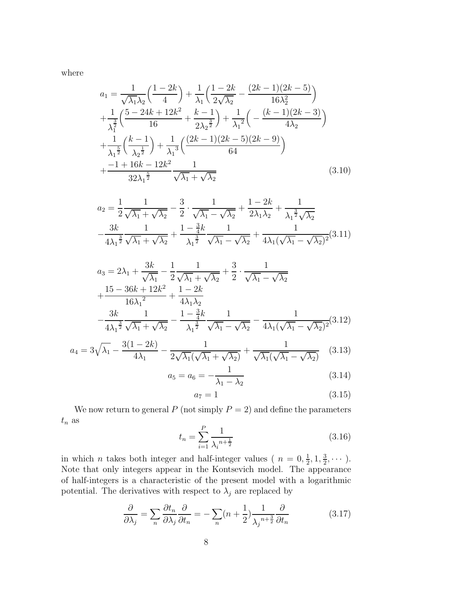where

$$
a_1 = \frac{1}{\sqrt{\lambda_1}\lambda_2} \left( \frac{1-2k}{4} \right) + \frac{1}{\lambda_1} \left( \frac{1-2k}{2\sqrt{\lambda_2}} - \frac{(2k-1)(2k-5)}{16\lambda_2^2} \right)
$$
  
+ 
$$
\frac{1}{\lambda_1^{\frac{3}{2}}} \left( \frac{5-24k+12k^2}{16} + \frac{k-1}{2\lambda_2^{\frac{3}{2}}} \right) + \frac{1}{\lambda_1^2} \left( -\frac{(k-1)(2k-3)}{4\lambda_2} \right)
$$
  
+ 
$$
\frac{1}{\lambda_1^{\frac{5}{2}}} \left( \frac{k-1}{\lambda_2^{\frac{1}{2}}} \right) + \frac{1}{\lambda_1^3} \left( \frac{(2k-1)(2k-5)(2k-9)}{64} \right)
$$
  
+ 
$$
\frac{-1+16k-12k^2}{32\lambda_1^{\frac{5}{2}}} \frac{1}{\sqrt{\lambda_1} + \sqrt{\lambda_2}}
$$
(3.10)

<span id="page-8-1"></span>
$$
a_2 = \frac{1}{2} \frac{1}{\sqrt{\lambda_1} + \sqrt{\lambda_2}} - \frac{3}{2} \cdot \frac{1}{\sqrt{\lambda_1} - \sqrt{\lambda_2}} + \frac{1 - 2k}{2\lambda_1\lambda_2} + \frac{1}{\lambda_1^{\frac{3}{2}}\sqrt{\lambda_2}} - \frac{3k}{4\lambda_1^{\frac{3}{2}}} \frac{1}{\sqrt{\lambda_1} + \sqrt{\lambda_2}} + \frac{1 - \frac{3}{4}k}{\lambda_1^{\frac{3}{2}}} \frac{1}{\sqrt{\lambda_1} - \sqrt{\lambda_2}} + \frac{1}{4\lambda_1(\sqrt{\lambda_1} - \sqrt{\lambda_2})^2} (3.11)
$$

<span id="page-8-2"></span>
$$
a_3 = 2\lambda_1 + \frac{3k}{\sqrt{\lambda_1}} - \frac{1}{2} \frac{1}{\sqrt{\lambda_1} + \sqrt{\lambda_2}} + \frac{3}{2} \cdot \frac{1}{\sqrt{\lambda_1} - \sqrt{\lambda_2}}
$$
  
+ 
$$
\frac{15 - 36k + 12k^2}{16\lambda_1^2} + \frac{1 - 2k}{4\lambda_1\lambda_2}
$$
  
- 
$$
\frac{3k}{4\lambda_1^{\frac{3}{2}}} \frac{1}{\sqrt{\lambda_1} + \sqrt{\lambda_2}} - \frac{1 - \frac{3}{4}k}{\lambda_1^{\frac{3}{2}}} \frac{1}{\sqrt{\lambda_1} - \sqrt{\lambda_2}} - \frac{1}{4\lambda_1(\sqrt{\lambda_1} - \sqrt{\lambda_2})^2} (3.12)
$$
  
- 
$$
3(1 - 2k) \qquad 1 \qquad 1
$$

<span id="page-8-3"></span>
$$
a_4 = 3\sqrt{\lambda_1} - \frac{3(1-2k)}{4\lambda_1} - \frac{1}{2\sqrt{\lambda_1}(\sqrt{\lambda_1} + \sqrt{\lambda_2})} + \frac{1}{\sqrt{\lambda_1}(\sqrt{\lambda_1} - \sqrt{\lambda_2})}
$$
(3.13)

$$
a_5 = a_6 = -\frac{1}{\lambda_1 - \lambda_2} \tag{3.14}
$$

$$
a_7 = 1 \tag{3.15}
$$

We now return to general P (not simply  $P = 2$ ) and define the parameters  $t_n$  as

<span id="page-8-0"></span>
$$
t_n = \sum_{i=1}^{P} \frac{1}{\lambda_i^{n + \frac{1}{2}}} \tag{3.16}
$$

in which *n* takes both integer and half-integer values ( $n = 0, \frac{1}{2}$ )  $\frac{1}{2}$ , 1,  $\frac{3}{2}$  $\frac{3}{2}, \cdots$ ). Note that only integers appear in the Kontsevich model. The appearance of half-integers is a characteristic of the present model with a logarithmic potential. The derivatives with respect to  $\lambda_j$  are replaced by

$$
\frac{\partial}{\partial \lambda_j} = \sum_n \frac{\partial t_n}{\partial \lambda_j} \frac{\partial}{\partial t_n} = -\sum_n (n + \frac{1}{2}) \frac{1}{\lambda_j^{n + \frac{3}{2}}} \frac{\partial}{\partial t_n}
$$
(3.17)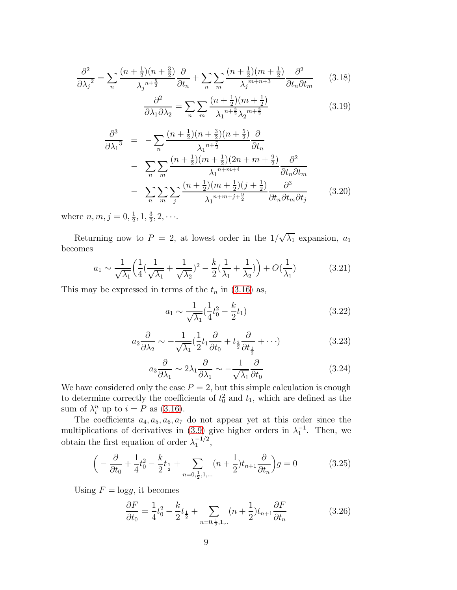$$
\frac{\partial^2}{\partial \lambda_j^2} = \sum_n \frac{(n + \frac{1}{2})(n + \frac{3}{2})}{\lambda_j^{n + \frac{5}{2}}} \frac{\partial}{\partial t_n} + \sum_n \sum_m \frac{(n + \frac{1}{2})(m + \frac{1}{2})}{\lambda_j^{m + n + 3}} \frac{\partial^2}{\partial t_n \partial t_m} \tag{3.18}
$$

$$
\frac{\partial^2}{\partial \lambda_1 \partial \lambda_2} = \sum_n \sum_m \frac{(n + \frac{1}{2})(m + \frac{1}{2})}{\lambda_1^{n + \frac{3}{2}} \lambda_2^{m + \frac{3}{2}}} \tag{3.19}
$$

$$
\frac{\partial^3}{\partial \lambda_1^3} = -\sum_n \frac{(n+\frac{1}{2})(n+\frac{3}{2})(n+\frac{5}{2})}{\lambda_1^{n+\frac{7}{2}}} \frac{\partial}{\partial t_n}
$$

$$
- \sum_n \sum_m \frac{(n+\frac{1}{2})(m+\frac{1}{2})(2n+m+\frac{9}{2})}{\lambda_1^{n+m+4}} \frac{\partial^2}{\partial t_n \partial t_m}
$$

$$
- \sum_n \sum_m \sum_j \frac{(n+\frac{1}{2})(m+\frac{1}{2})(j+\frac{1}{2})}{\lambda_1^{n+m+j+\frac{9}{2}}} \frac{\partial^3}{\partial t_n \partial t_m \partial t_j} \qquad (3.20)
$$

where  $n, m, j = 0, \frac{1}{2}$  $\frac{1}{2}$ , 1,  $\frac{3}{2}$  $\frac{3}{2}, 2, \cdots$ 

Returning now to  $P = 2$ , at lowest order in the  $1/\sqrt{\lambda_1}$  expansion,  $a_1$ becomes

$$
a_1 \sim \frac{1}{\sqrt{\lambda_1}} \left( \frac{1}{4} (\frac{1}{\sqrt{\lambda_1}} + \frac{1}{\sqrt{\lambda_2}})^2 - \frac{k}{2} (\frac{1}{\lambda_1} + \frac{1}{\lambda_2}) \right) + O(\frac{1}{\lambda_1})
$$
(3.21)

This may be expressed in terms of the  $t_n$  in [\(3.16\)](#page-8-0) as,

$$
a_1 \sim \frac{1}{\sqrt{\lambda_1}} \left(\frac{1}{4}t_0^2 - \frac{k}{2}t_1\right) \tag{3.22}
$$

$$
a_2 \frac{\partial}{\partial \lambda_2} \sim -\frac{1}{\sqrt{\lambda_1}} \left(\frac{1}{2} t_1 \frac{\partial}{\partial t_0} + t_{\frac{3}{2}} \frac{\partial}{\partial t_{\frac{1}{2}}} + \cdots\right)
$$
 (3.23)

$$
a_3 \frac{\partial}{\partial \lambda_1} \sim 2\lambda_1 \frac{\partial}{\partial \lambda_1} \sim -\frac{1}{\sqrt{\lambda_1}} \frac{\partial}{\partial t_0}
$$
 (3.24)

We have considered only the case  $P = 2$ , but this simple calculation is enough to determine correctly the coefficients of  $t_0^2$  and  $t_1$ , which are defined as the sum of  $\lambda_i^n$  up to  $i = P$  as [\(3.16\)](#page-8-0).

The coefficients  $a_4, a_5, a_6, a_7$  do not appear yet at this order since the multiplications of derivatives in [\(3.9\)](#page-7-2) give higher orders in  $\lambda_1^{-1}$ . Then, we obtain the first equation of order  $\lambda_1^{-1/2}$ ,

$$
\left(-\frac{\partial}{\partial t_0} + \frac{1}{4}t_0^2 - \frac{k}{2}t_{\frac{1}{2}} + \sum_{n=0,\frac{1}{2},1,\dots} (n+\frac{1}{2})t_{n+1}\frac{\partial}{\partial t_n}\right)g = 0\tag{3.25}
$$

Using  $F = \log q$ , it becomes

$$
\frac{\partial F}{\partial t_0} = \frac{1}{4}t_0^2 - \frac{k}{2}t_{\frac{1}{2}} + \sum_{n=0,\frac{1}{2},1,\dots} (n+\frac{1}{2})t_{n+1}\frac{\partial F}{\partial t_n}
$$
(3.26)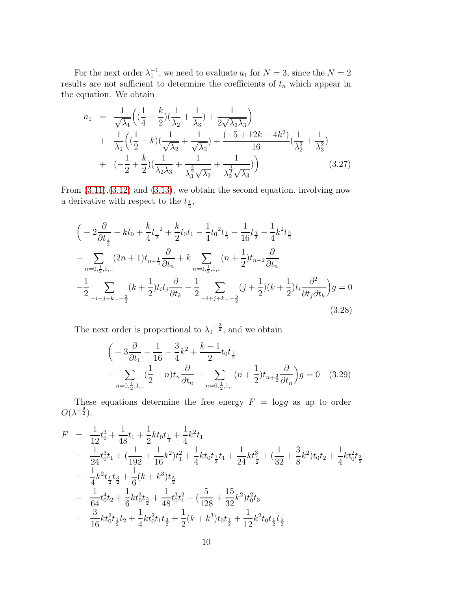For the next order  $\lambda_1^{-1}$ , we need to evaluate  $a_1$  for  $N = 3$ , since the  $N = 2$ results are not sufficient to determine the coefficients of  $t_n$  which appear in the equation. We obtain

$$
a_1 = \frac{1}{\sqrt{\lambda_1}} \left( (\frac{1}{4} - \frac{k}{2}) (\frac{1}{\lambda_2} + \frac{1}{\lambda_3}) + \frac{1}{2\sqrt{\lambda_2\lambda_3}} \right) + \frac{1}{\lambda_1} \left( (\frac{1}{2} - k) (\frac{1}{\sqrt{\lambda_2}} + \frac{1}{\sqrt{\lambda_3}}) + \frac{(-5 + 12k - 4k^2)}{16} (\frac{1}{\lambda_2^2} + \frac{1}{\lambda_3^2}) + (-\frac{1}{2} + \frac{k}{2}) (\frac{1}{\lambda_2\lambda_3} + \frac{1}{\lambda_3^2 \sqrt{\lambda_2}} + \frac{1}{\lambda_2^3 \sqrt{\lambda_3}}) \right)
$$
(3.27)

From  $(3.11), (3.12)$  $(3.11), (3.12)$  and  $(3.13),$  we obtain the second equation, involving now a derivative with respect to the  $t_{\frac{1}{2}}$ ,

$$
\begin{split}\n&\left(-2\frac{\partial}{\partial t_{\frac{1}{2}}}-kt_{0}+\frac{k}{4}t_{\frac{1}{2}}^{2}+\frac{k}{2}t_{0}t_{1}-\frac{1}{4}t_{0}^{2}t_{\frac{1}{2}}-\frac{1}{16}t_{\frac{3}{2}}-\frac{1}{4}k^{2}t_{\frac{3}{2}}\right.\\&\left. -\sum_{n=0,\frac{1}{2},1,\dots}(2n+1)t_{n+\frac{1}{2}}\frac{\partial}{\partial t_{n}}+k\sum_{n=0,\frac{1}{2},1,\dots}(n+\frac{1}{2})t_{n+2}\frac{\partial}{\partial t_{n}}\right.\\&\left. -\frac{1}{2}\sum_{-i-j+k=-\frac{3}{2}}(k+\frac{1}{2})t_{i}t_{j}\frac{\partial}{\partial t_{k}}-\frac{1}{2}\sum_{-i+j+k=-\frac{5}{2}}(j+\frac{1}{2})(k+\frac{1}{2})t_{i}\frac{\partial^{2}}{\partial t_{j}\partial t_{k}}\right)g=0\end{split} \tag{3.28}
$$

The next order is proportional to  $\lambda_1^{-\frac{3}{2}}$ , and we obtain

$$
\left(-3\frac{\partial}{\partial t_1} - \frac{1}{16} - \frac{3}{4}k^2 + \frac{k-1}{2}t_0t_{\frac{1}{2}}\right) - \sum_{n=0,\frac{1}{2},1,\dots} \left(\frac{1}{2} + n\right)t_n \frac{\partial}{\partial t_n} - \sum_{n=0,\frac{1}{2},1,\dots} \left(n + \frac{1}{2}\right)t_{n+\frac{3}{2}} \frac{\partial}{\partial t_n}\right)g = 0 \quad (3.29)
$$

These equations determine the free energy  $F = \log g$  as up to order  $O(\lambda^{-\frac{9}{2}}),$ 

<span id="page-10-0"></span>
$$
F = \frac{1}{12}t_0^3 + \frac{1}{48}t_1 + \frac{1}{2}kt_0t_{\frac{1}{2}} + \frac{1}{4}k^2t_1
$$
  
+ 
$$
\frac{1}{24}t_0^3t_1 + (\frac{1}{192} + \frac{1}{16}k^2)t_1^2 + \frac{1}{4}kt_0t_{\frac{1}{2}}t_1 + \frac{1}{24}kt_{\frac{1}{2}}^3 + (\frac{1}{32} + \frac{3}{8}k^2)t_0t_2 + \frac{1}{4}kt_0^2t_{\frac{3}{2}}
$$
  
+ 
$$
\frac{1}{4}k^2t_{\frac{1}{2}}t_{\frac{3}{2}} + \frac{1}{6}(k+k^3)t_{\frac{5}{2}}
$$
  
+ 
$$
\frac{1}{64}t_0^4t_2 + \frac{1}{6}kt_0^3t_{\frac{5}{2}} + \frac{1}{48}t_0^3t_1^2 + (\frac{5}{128} + \frac{15}{32}k^2)t_0^2t_3
$$
  
+ 
$$
\frac{3}{16}kt_0^2t_{\frac{1}{2}}t_2 + \frac{1}{4}kt_0^2t_1t_{\frac{3}{2}} + \frac{1}{2}(k+k^3)t_0t_{\frac{7}{2}} + \frac{1}{12}k^2t_0t_{\frac{1}{2}}t_{\frac{5}{2}}
$$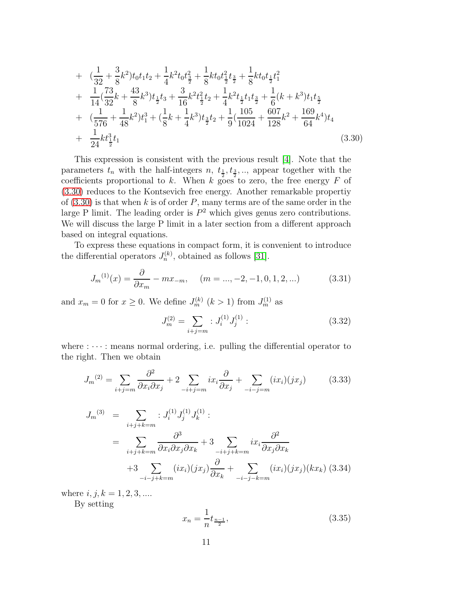+ 
$$
(\frac{1}{32} + \frac{3}{8}k^2)t_0t_1t_2 + \frac{1}{4}k^2t_0t_{\frac{3}{2}}^2 + \frac{1}{8}kt_0t_{\frac{1}{2}}^2t_{\frac{3}{2}} + \frac{1}{8}kt_0t_{\frac{1}{2}}t_1^2
$$
  
+  $\frac{1}{14}(\frac{73}{32}k + \frac{43}{8}k^3)t_{\frac{1}{2}}t_3 + \frac{3}{16}k^2t_{\frac{1}{2}}^2t_2 + \frac{1}{4}k^2t_{\frac{1}{2}}t_1t_3 + \frac{1}{6}(k + k^3)t_1t_{\frac{5}{2}}$   
+  $(\frac{1}{576} + \frac{1}{48}k^2)t_1^3 + (\frac{1}{8}k + \frac{1}{4}k^3)t_{\frac{3}{2}}t_2 + \frac{1}{9}(\frac{105}{1024} + \frac{607}{128}k^2 + \frac{169}{64}k^4)t_4$   
+  $\frac{1}{24}kt_{\frac{1}{2}}^3t_1$  (3.30)

This expression is consistent with the previous result [\[4\]](#page-33-3). Note that the parameters  $t_n$  with the half-integers  $n, t_{\frac{1}{2}}, t_{\frac{3}{2}}, ...$ , appear together with the coefficients proportional to k. When k goes to zero, the free energy F of [\(3.30\)](#page-10-0) reduces to the Kontsevich free energy. Another remarkable propertiy of  $(3.30)$  is that when k is of order P, many terms are of the same order in the large P limit. The leading order is  $P^2$  which gives genus zero contributions. We will discuss the large P limit in a later section from a different approach based on integral equations.

To express these equations in compact form, it is convenient to introduce the differential operators  $J_n^{(k)}$ , obtained as follows [\[31\]](#page-35-5).

$$
J_m^{(1)}(x) = \frac{\partial}{\partial x_m} - mx_{-m}, \quad (m = ..., -2, -1, 0, 1, 2, ...)
$$
 (3.31)

and  $x_m = 0$  for  $x \ge 0$ . We define  $J_m^{(k)}$   $(k > 1)$  from  $J_m^{(1)}$  as

$$
J_m^{(2)} = \sum_{i+j=m} : J_i^{(1)} J_j^{(1)} : \tag{3.32}
$$

where  $:\cdots:$  means normal ordering, i.e. pulling the differential operator to the right. Then we obtain

$$
J_m^{(2)} = \sum_{i+j=m} \frac{\partial^2}{\partial x_i \partial x_j} + 2 \sum_{-i+j=m} ix_i \frac{\partial}{\partial x_j} + \sum_{-i-j=m} (ix_i)(jx_j) \tag{3.33}
$$

<span id="page-11-0"></span>
$$
J_m^{(3)} = \sum_{i+j+k=m} : J_i^{(1)} J_j^{(1)} J_k^{(1)} :
$$
  
= 
$$
\sum_{i+j+k=m} \frac{\partial^3}{\partial x_i \partial x_j \partial x_k} + 3 \sum_{-i+j+k=m} ix_i \frac{\partial^2}{\partial x_j \partial x_k}
$$
  
+ 
$$
3 \sum_{-i-j+k=m} (ix_i)(jx_j) \frac{\partial}{\partial x_k} + \sum_{-i-j-k=m} (ix_i)(jx_j)(kx_k) (3.34)
$$

where  $i, j, k = 1, 2, 3, ...$ 

By setting

$$
x_n = \frac{1}{n} t_{\frac{n-1}{2}},\tag{3.35}
$$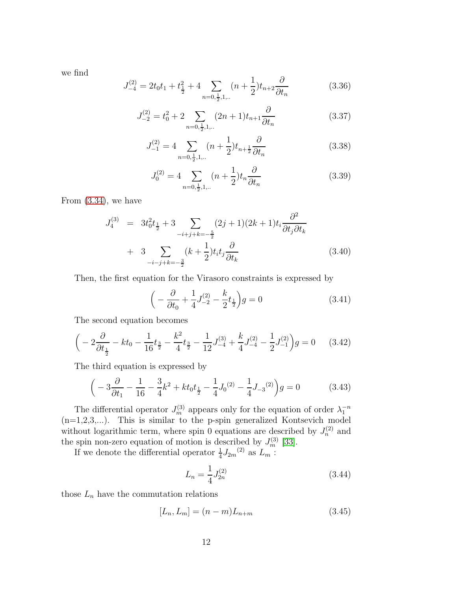we find

$$
J_{-4}^{(2)} = 2t_0 t_1 + t_{\frac{1}{2}}^2 + 4 \sum_{n=0, \frac{1}{2}, 1, \dots} (n + \frac{1}{2}) t_{n+2} \frac{\partial}{\partial t_n}
$$
(3.36)

$$
J_{-2}^{(2)} = t_0^2 + 2 \sum_{n=0, \frac{1}{2}, 1, \dots} (2n+1)t_{n+1} \frac{\partial}{\partial t_n}
$$
 (3.37)

$$
J_{-1}^{(2)} = 4 \sum_{n=0, \frac{1}{2}, 1, \dots} (n + \frac{1}{2}) t_{n + \frac{1}{2}} \frac{\partial}{\partial t_n}
$$
(3.38)

$$
J_0^{(2)} = 4 \sum_{n=0, \frac{1}{2}, 1, \dots} (n + \frac{1}{2}) t_n \frac{\partial}{\partial t_n}
$$
 (3.39)

From [\(3.34\)](#page-11-0), we have

 $\epsilon$ 

$$
J_4^{(3)} = 3t_0^2 t_{\frac{1}{2}} + 3 \sum_{-i+j+k=-\frac{5}{2}} (2j+1)(2k+1)t_i \frac{\partial^2}{\partial t_j \partial t_k} + 3 \sum_{-i-j+k=-\frac{3}{2}} (k+\frac{1}{2}) t_i t_j \frac{\partial}{\partial t_k}
$$
 (3.40)

Then, the first equation for the Virasoro constraints is expressed by

$$
\left(-\frac{\partial}{\partial t_0} + \frac{1}{4}J_{-2}^{(2)} - \frac{k}{2}t_{\frac{1}{2}}\right)g = 0\tag{3.41}
$$

The second equation becomes

$$
\left(-2\frac{\partial}{\partial t_{\frac{1}{2}}} - kt_0 - \frac{1}{16}t_{\frac{3}{2}} - \frac{k^2}{4}t_{\frac{3}{2}} - \frac{1}{12}J^{(3)}_{-4} + \frac{k}{4}J^{(2)}_{-4} - \frac{1}{2}J^{(2)}_{-1}\right)g = 0 \quad (3.42)
$$

The third equation is expressed by

$$
\left(-3\frac{\partial}{\partial t_1} - \frac{1}{16} - \frac{3}{4}k^2 + kt_0t_{\frac{1}{2}} - \frac{1}{4}J_0^{(2)} - \frac{1}{4}J_{-3}^{(2)}\right)g = 0\tag{3.43}
$$

The differential operator  $J_m^{(3)}$  appears only for the equation of order  $\lambda_1^{-n}$  $(n=1,2,3,...)$ . This is similar to the p-spin generalized Kontsevich model without logarithmic term, where spin 0 equations are described by  $J_n^{(2)}$  and the spin non-zero equation of motion is described by  $J_m^{(3)}$  [\[33\]](#page-35-6).

If we denote the differential operator  $\frac{1}{4}J_{2m}^{(2)}$  as  $L_m$ :

$$
L_n = \frac{1}{4} J_{2n}^{(2)} \tag{3.44}
$$

those  $L_n$  have the commutation relations

$$
[L_n, L_m] = (n - m)L_{n+m} \tag{3.45}
$$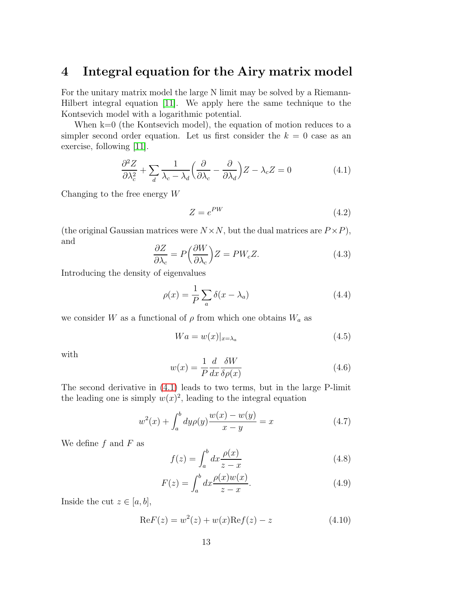## 4 Integral equation for the Airy matrix model

For the unitary matrix model the large N limit may be solved by a Riemann-Hilbert integral equation [\[11\]](#page-33-10). We apply here the same technique to the Kontsevich model with a logarithmic potential.

When  $k=0$  (the Kontsevich model), the equation of motion reduces to a simpler second order equation. Let us first consider the  $k = 0$  case as an exercise, following [\[11\]](#page-33-10).

<span id="page-13-0"></span>
$$
\frac{\partial^2 Z}{\partial \lambda_c^2} + \sum_d \frac{1}{\lambda_c - \lambda_d} \left( \frac{\partial}{\partial \lambda_c} - \frac{\partial}{\partial \lambda_d} \right) Z - \lambda_c Z = 0 \tag{4.1}
$$

Changing to the free energy  $W$ 

$$
Z = e^{PW} \tag{4.2}
$$

(the original Gaussian matrices were  $N \times N$ , but the dual matrices are  $P \times P$ ), and

$$
\frac{\partial Z}{\partial \lambda_c} = P\left(\frac{\partial W}{\partial \lambda_c}\right) Z = PW_c Z. \tag{4.3}
$$

Introducing the density of eigenvalues

$$
\rho(x) = \frac{1}{P} \sum_{a} \delta(x - \lambda_a) \tag{4.4}
$$

we consider W as a functional of  $\rho$  from which one obtains  $W_a$  as

$$
Wa = w(x)|_{x=\lambda_a} \tag{4.5}
$$

with

$$
w(x) = \frac{1}{P} \frac{d}{dx} \frac{\delta W}{\delta \rho(x)}
$$
(4.6)

The second derivative in [\(4.1\)](#page-13-0) leads to two terms, but in the large P-limit the leading one is simply  $w(x)^2$ , leading to the integral equation

<span id="page-13-1"></span>
$$
w^{2}(x) + \int_{a}^{b} dy \rho(y) \frac{w(x) - w(y)}{x - y} = x \tag{4.7}
$$

We define  $f$  and  $F$  as

$$
f(z) = \int_{a}^{b} dx \frac{\rho(x)}{z - x}
$$
 (4.8)

$$
F(z) = \int_{a}^{b} dx \frac{\rho(x)w(x)}{z - x}.
$$
 (4.9)

Inside the cut  $z \in [a, b]$ ,

$$
ReF(z) = w^{2}(z) + w(x)Ref(z) - z
$$
\n(4.10)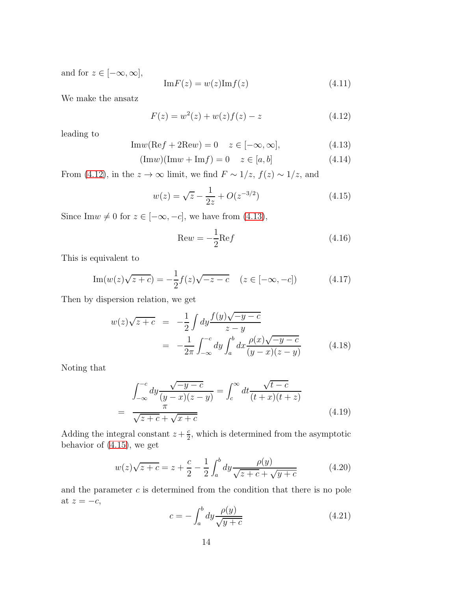and for  $z \in [-\infty, \infty]$ ,

$$
\mathrm{Im}F(z) = w(z)\mathrm{Im}f(z) \tag{4.11}
$$

We make the ansatz

<span id="page-14-0"></span>
$$
F(z) = w2(z) + w(z)f(z) - z
$$
 (4.12)

leading to

<span id="page-14-1"></span>
$$
\text{Im}w(\text{Re}f + 2\text{Re}w) = 0 \quad z \in [-\infty, \infty], \tag{4.13}
$$

$$
(\text{Im}w)(\text{Im}w + \text{Im}f) = 0 \quad z \in [a, b]
$$
\n
$$
(4.14)
$$

From [\(4.12\)](#page-14-0), in the  $z \to \infty$  limit, we find  $F \sim 1/z$ ,  $f(z) \sim 1/z$ , and

<span id="page-14-2"></span>
$$
w(z) = \sqrt{z} - \frac{1}{2z} + O(z^{-3/2})
$$
\n(4.15)

Since Im $w \neq 0$  for  $z \in [-\infty, -c]$ , we have from [\(4.13\)](#page-14-1),

$$
\text{Re}w = -\frac{1}{2}\text{Re}f\tag{4.16}
$$

This is equivalent to

Im
$$
(w(z)\sqrt{z+c}) = -\frac{1}{2}f(z)\sqrt{-z-c}
$$
  $(z \in [-\infty, -c])$  (4.17)

Then by dispersion relation, we get

$$
w(z)\sqrt{z+c} = -\frac{1}{2} \int dy \frac{f(y)\sqrt{-y-c}}{z-y}
$$
  
= 
$$
-\frac{1}{2\pi} \int_{-\infty}^{-c} dy \int_{a}^{b} dx \frac{\rho(x)\sqrt{-y-c}}{(y-x)(z-y)}
$$
(4.18)

Noting that

$$
\int_{-\infty}^{-c} dy \frac{\sqrt{-y-c}}{(y-x)(z-y)} = \int_{c}^{\infty} dt \frac{\sqrt{t-c}}{(t+x)(t+z)}
$$
\n
$$
= \frac{\pi}{\sqrt{z+c} + \sqrt{x+c}}
$$
\n(4.19)

Adding the integral constant  $z + \frac{c}{2}$  $\frac{c}{2}$ , which is determined from the asymptotic behavior of [\(4.15\)](#page-14-2), we get

$$
w(z)\sqrt{z+c} = z + \frac{c}{2} - \frac{1}{2} \int_{a}^{b} dy \frac{\rho(y)}{\sqrt{z+c} + \sqrt{y+c}}
$$
(4.20)

and the parameter  $c$  is determined from the condition that there is no pole at  $z = -c$ ,

<span id="page-14-3"></span>
$$
c = -\int_{a}^{b} dy \frac{\rho(y)}{\sqrt{y+c}} \tag{4.21}
$$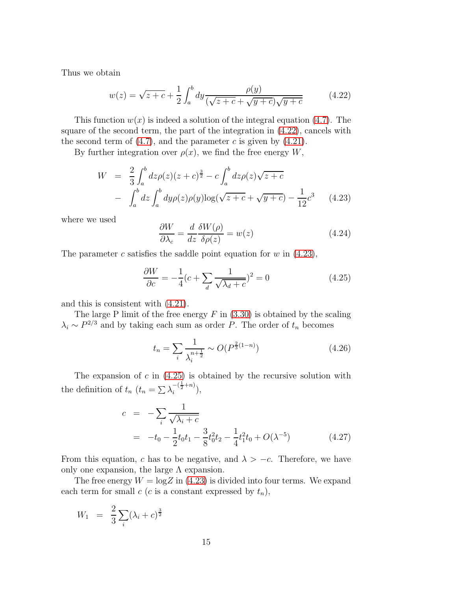Thus we obtain

<span id="page-15-0"></span>
$$
w(z) = \sqrt{z + c} + \frac{1}{2} \int_{a}^{b} dy \frac{\rho(y)}{(\sqrt{z + c} + \sqrt{y + c})\sqrt{y + c}}
$$
(4.22)

This function  $w(x)$  is indeed a solution of the integral equation [\(4.7\)](#page-13-1). The square of the second term, the part of the integration in [\(4.22\)](#page-15-0), cancels with the second term of  $(4.7)$ , and the parameter c is given by  $(4.21)$ .

By further integration over  $\rho(x)$ , we find the free energy W,

<span id="page-15-1"></span>
$$
W = \frac{2}{3} \int_{a}^{b} dz \rho(z) (z + c)^{\frac{3}{2}} - c \int_{a}^{b} dz \rho(z) \sqrt{z + c}
$$

$$
- \int_{a}^{b} dz \int_{a}^{b} dy \rho(z) \rho(y) \log(\sqrt{z + c} + \sqrt{y + c}) - \frac{1}{12} c^{3} \qquad (4.23)
$$

where we used

$$
\frac{\partial W}{\partial \lambda_c} = \frac{d}{dz} \frac{\delta W(\rho)}{\delta \rho(z)} = w(z)
$$
\n(4.24)

The parameter c satisfies the saddle point equation for w in  $(4.23)$ ,

<span id="page-15-2"></span>
$$
\frac{\partial W}{\partial c} = -\frac{1}{4}(c + \sum_{d} \frac{1}{\sqrt{\lambda_d + c}})^2 = 0\tag{4.25}
$$

and this is consistent with [\(4.21\)](#page-14-3).

The large P limit of the free energy  $F$  in  $(3.30)$  is obtained by the scaling  $\lambda_i \sim P^{2/3}$  and by taking each sum as order P. The order of  $t_n$  becomes

$$
t_n = \sum_{i} \frac{1}{\lambda_i^{n + \frac{1}{2}}} \sim O(P^{\frac{2}{3}(1-n)})
$$
\n(4.26)

The expansion of  $c$  in  $(4.25)$  is obtained by the recursive solution with the definition of  $t_n$   $(t_n = \sum_{i} \lambda_i^{-(\frac{1}{2}+n)}),$ 

$$
c = -\sum_{i} \frac{1}{\sqrt{\lambda_i + c}}
$$
  
= -t<sub>0</sub> -  $\frac{1}{2}$ t<sub>0</sub>t<sub>1</sub> -  $\frac{3}{8}$ t<sub>0</sub><sup>2</sup>t<sub>2</sub> -  $\frac{1}{4}$ t<sub>1</sub><sup>2</sup>t<sub>0</sub> + O( $\lambda$ <sup>-5</sup>) (4.27)

From this equation, c has to be negative, and  $\lambda > -c$ . Therefore, we have only one expansion, the large  $\Lambda$  expansion.

The free energy  $W = \log Z$  in [\(4.23\)](#page-15-1) is divided into four terms. We expand each term for small c (c is a constant expressed by  $t_n$ ),

$$
W_1 = \frac{2}{3} \sum_{i} (\lambda_i + c)^{\frac{3}{2}}
$$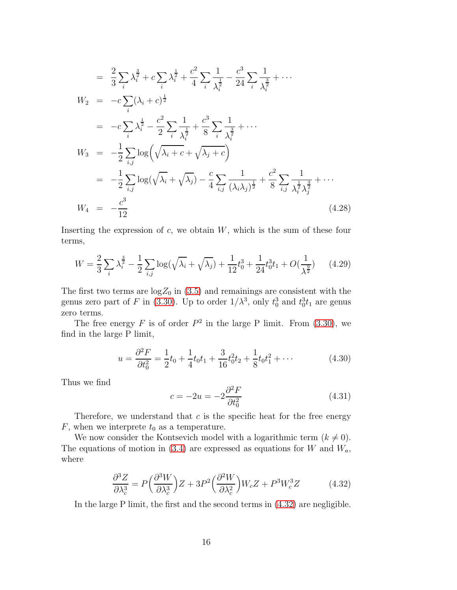$$
= \frac{2}{3}\sum_{i}\lambda_{i}^{\frac{3}{2}} + c\sum_{i}\lambda_{i}^{\frac{1}{2}} + \frac{c^{2}}{4}\sum_{i}\frac{1}{\lambda_{i}^{\frac{1}{2}}} - \frac{c^{3}}{24}\sum_{i}\frac{1}{\lambda_{i}^{\frac{3}{2}}} + \cdots
$$
  
\n
$$
W_{2} = -c\sum_{i}(\lambda_{i} + c)^{\frac{1}{2}}
$$
  
\n
$$
= -c\sum_{i}\lambda_{i}^{\frac{1}{2}} - \frac{c^{2}}{2}\sum_{i}\frac{1}{\lambda_{i}^{\frac{1}{2}}} + \frac{c^{3}}{8}\sum_{i}\frac{1}{\lambda_{i}^{\frac{3}{2}}} + \cdots
$$
  
\n
$$
W_{3} = -\frac{1}{2}\sum_{i,j}\log\left(\sqrt{\lambda_{i} + c} + \sqrt{\lambda_{j} + c}\right)
$$
  
\n
$$
= -\frac{1}{2}\sum_{i,j}\log(\sqrt{\lambda_{i}} + \sqrt{\lambda_{j}}) - \frac{c}{4}\sum_{i,j}\frac{1}{(\lambda_{i}\lambda_{j})^{\frac{1}{2}}} + \frac{c^{2}}{8}\sum_{i,j}\frac{1}{\lambda_{i}^{\frac{3}{2}}\lambda_{j}^{\frac{3}{2}}} + \cdots
$$
  
\n
$$
W_{4} = -\frac{c^{3}}{12}
$$
 (4.28)

Inserting the expression of  $c$ , we obtain  $W$ , which is the sum of these four terms,

$$
W = \frac{2}{3} \sum_{i} \lambda_i^{\frac{3}{2}} - \frac{1}{2} \sum_{i,j} \log(\sqrt{\lambda_i} + \sqrt{\lambda_j}) + \frac{1}{12} t_0^3 + \frac{1}{24} t_0^3 t_1 + O(\frac{1}{\lambda^{\frac{9}{2}}}) \tag{4.29}
$$

The first two terms are  $\log Z_0$  in [\(3.5\)](#page-7-3) and remainings are consistent with the genus zero part of F in [\(3.30\)](#page-10-0). Up to order  $1/\lambda^3$ , only  $t_0^3$  and  $t_0^3t_1$  are genus zero terms.

The free energy F is of order  $P^2$  in the large P limit. From [\(3.30\)](#page-10-0), we find in the large P limit,

$$
u = \frac{\partial^2 F}{\partial t_0^2} = \frac{1}{2}t_0 + \frac{1}{4}t_0t_1 + \frac{3}{16}t_0^2t_2 + \frac{1}{8}t_0t_1^2 + \cdots
$$
 (4.30)

Thus we find

$$
c = -2u = -2\frac{\partial^2 F}{\partial t_0^2} \tag{4.31}
$$

Therefore, we understand that  $c$  is the specific heat for the free energy  $F$ , when we interprete  $t_0$  as a temperature.

We now consider the Kontsevich model with a logarithmic term  $(k \neq 0)$ . The equations of motion in [\(3.4\)](#page-7-0) are expressed as equations for  $W$  and  $W_a$ , where

<span id="page-16-0"></span>
$$
\frac{\partial^3 Z}{\partial \lambda_c^3} = P \left( \frac{\partial^3 W}{\partial \lambda_c^3} \right) Z + 3P^2 \left( \frac{\partial^2 W}{\partial \lambda_c^2} \right) W_c Z + P^3 W_c^3 Z \tag{4.32}
$$

In the large P limit, the first and the second terms in [\(4.32\)](#page-16-0) are negligible.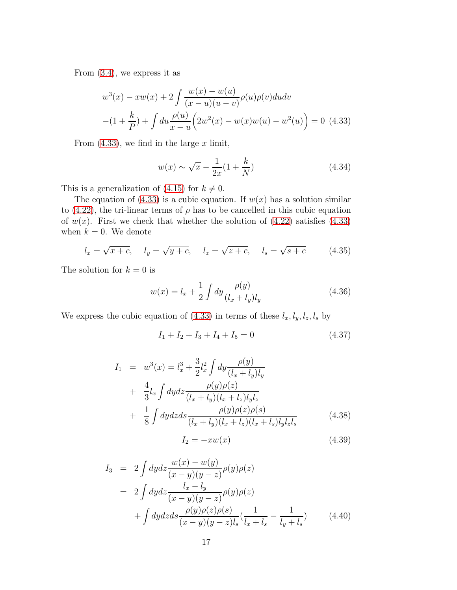From [\(3.4\)](#page-7-0), we express it as

<span id="page-17-0"></span>
$$
w^{3}(x) - xw(x) + 2 \int \frac{w(x) - w(u)}{(x - u)(u - v)} \rho(u)\rho(v)dudv
$$

$$
-(1 + \frac{k}{P}) + \int du \frac{\rho(u)}{x - u} \left(2w^{2}(x) - w(x)w(u) - w^{2}(u)\right) = 0 \tag{4.33}
$$

From  $(4.33)$ , we find in the large x limit,

$$
w(x) \sim \sqrt{x} - \frac{1}{2x}(1 + \frac{k}{N})
$$
\n(4.34)

This is a generalization of [\(4.15\)](#page-14-2) for  $k \neq 0$ .

The equation of [\(4.33\)](#page-17-0) is a cubic equation. If  $w(x)$  has a solution similar to [\(4.22\)](#page-15-0), the tri-linear terms of  $\rho$  has to be cancelled in this cubic equation of  $w(x)$ . First we check that whether the solution of  $(4.22)$  satisfies  $(4.33)$ when  $k = 0$ . We denote

$$
l_x = \sqrt{x + c}
$$
,  $l_y = \sqrt{y + c}$ ,  $l_z = \sqrt{z + c}$ ,  $l_s = \sqrt{s + c}$  (4.35)

The solution for  $k = 0$  is

$$
w(x) = l_x + \frac{1}{2} \int dy \frac{\rho(y)}{(l_x + l_y)l_y}
$$
\n(4.36)

We express the cubic equation of [\(4.33\)](#page-17-0) in terms of these  $l_x, l_y, l_z, l_s$  by

$$
I_1 + I_2 + I_3 + I_4 + I_5 = 0 \tag{4.37}
$$

$$
I_{1} = w^{3}(x) = l_{x}^{3} + \frac{3}{2}l_{x}^{2} \int dy \frac{\rho(y)}{(l_{x} + l_{y})l_{y}} + \frac{4}{3}l_{x} \int dydz \frac{\rho(y)\rho(z)}{(l_{x} + l_{y})(l_{x} + l_{z})l_{y}l_{z}} + \frac{1}{8} \int dydzds \frac{\rho(y)\rho(z)\rho(s)}{(l_{x} + l_{y})(l_{x} + l_{z})(l_{x} + l_{s})l_{y}l_{z}l_{s}}
$$
(4.38)

$$
I_2 = -xw(x) \tag{4.39}
$$

$$
I_3 = 2 \int dy dz \frac{w(x) - w(y)}{(x - y)(y - z)} \rho(y)\rho(z)
$$
  
= 
$$
2 \int dy dz \frac{l_x - l_y}{(x - y)(y - z)} \rho(y)\rho(z)
$$
  
+ 
$$
\int dy dz ds \frac{\rho(y)\rho(z)\rho(s)}{(x - y)(y - z)l_s} (\frac{1}{l_x + l_s} - \frac{1}{l_y + l_s})
$$
(4.40)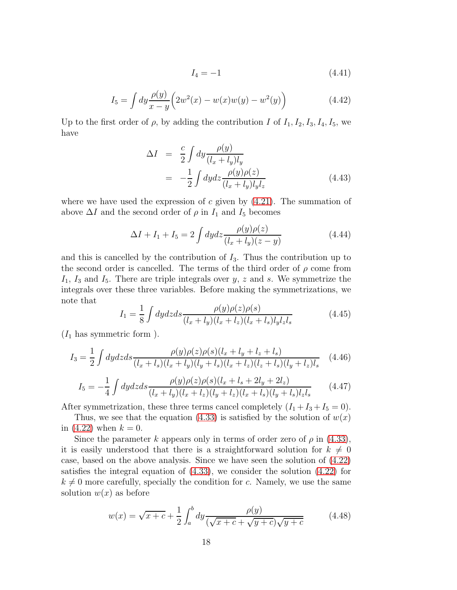$$
I_4 = -1 \tag{4.41}
$$

$$
I_5 = \int dy \frac{\rho(y)}{x - y} \left( 2w^2(x) - w(x)w(y) - w^2(y) \right)
$$
 (4.42)

Up to the first order of  $\rho$ , by adding the contribution I of  $I_1, I_2, I_3, I_4, I_5$ , we have

$$
\Delta I = \frac{c}{2} \int dy \frac{\rho(y)}{(l_x + l_y)l_y}
$$
  
= 
$$
-\frac{1}{2} \int dy dz \frac{\rho(y)\rho(z)}{(l_x + l_y)l_yl_z}
$$
(4.43)

where we have used the expression of c given by  $(4.21)$ . The summation of above  $\Delta I$  and the second order of  $\rho$  in  $I_1$  and  $I_5$  becomes

$$
\Delta I + I_1 + I_5 = 2 \int dy dz \frac{\rho(y)\rho(z)}{(l_x + l_y)(z - y)}
$$
(4.44)

and this is cancelled by the contribution of  $I_3$ . Thus the contribution up to the second order is cancelled. The terms of the third order of  $\rho$  come from  $I_1$ ,  $I_3$  and  $I_5$ . There are triple integrals over y, z and s. We symmetrize the integrals over these three variables. Before making the symmetrizations, we note that

$$
I_1 = \frac{1}{8} \int dy dz ds \frac{\rho(y)\rho(z)\rho(s)}{(l_x + l_y)(l_x + l_z)(l_x + l_s)l_yl_zl_s}
$$
(4.45)

 $(I_1$  has symmetric form ).

$$
I_3 = \frac{1}{2} \int dy dz ds \frac{\rho(y)\rho(z)\rho(s)(l_x + l_y + l_z + l_s)}{(l_x + l_s)(l_x + l_y)(l_y + l_s)(l_x + l_z)(l_z + l_s)(l_y + l_z)l_s} \tag{4.46}
$$

$$
I_5 = -\frac{1}{4} \int dy dz ds \frac{\rho(y)\rho(z)\rho(s)(l_x + l_s + 2l_y + 2l_z)}{(l_x + l_y)(l_x + l_z)(l_y + l_z)(l_x + l_s)(l_y + l_s)l_zl_s}
$$
(4.47)

After symmetrization, these three terms cancel completely  $(I_1 + I_3 + I_5 = 0)$ .

Thus, we see that the equation [\(4.33\)](#page-17-0) is satisfied by the solution of  $w(x)$ in  $(4.22)$  when  $k = 0$ .

Since the parameter k appears only in terms of order zero of  $\rho$  in [\(4.33\)](#page-17-0), it is easily understood that there is a straightforward solution for  $k \neq 0$ case, based on the above analysis. Since we have seen the solution of [\(4.22\)](#page-15-0) satisfies the integral equation of  $(4.33)$ , we consider the solution  $(4.22)$  for  $k \neq 0$  more carefully, specially the condition for c. Namely, we use the same solution  $w(x)$  as before

<span id="page-18-0"></span>
$$
w(x) = \sqrt{x + c} + \frac{1}{2} \int_{a}^{b} dy \frac{\rho(y)}{(\sqrt{x + c} + \sqrt{y + c})\sqrt{y + c}} \tag{4.48}
$$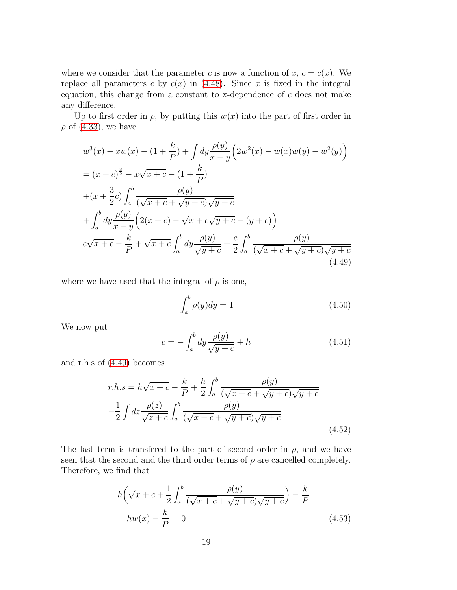where we consider that the parameter c is now a function of  $x, c = c(x)$ . We replace all parameters c by  $c(x)$  in [\(4.48\)](#page-18-0). Since x is fixed in the integral equation, this change from a constant to x-dependence of  $c$  does not make any difference.

Up to first order in  $\rho$ , by putting this  $w(x)$  into the part of first order in  $\rho$  of [\(4.33\)](#page-17-0), we have

<span id="page-19-0"></span>
$$
w^{3}(x) - xw(x) - (1 + \frac{k}{P}) + \int dy \frac{\rho(y)}{x - y} \left( 2w^{2}(x) - w(x)w(y) - w^{2}(y) \right)
$$
  

$$
= (x + c)^{\frac{3}{2}} - x\sqrt{x + c} - (1 + \frac{k}{P})
$$
  

$$
+ (x + \frac{3}{2}c) \int_{a}^{b} \frac{\rho(y)}{(\sqrt{x + c} + \sqrt{y + c})\sqrt{y + c}}
$$
  

$$
+ \int_{a}^{b} dy \frac{\rho(y)}{x - y} \left( 2(x + c) - \sqrt{x + c}\sqrt{y + c} - (y + c) \right)
$$
  

$$
= c\sqrt{x + c} - \frac{k}{P} + \sqrt{x + c} \int_{a}^{b} dy \frac{\rho(y)}{\sqrt{y + c}} + \frac{c}{2} \int_{a}^{b} \frac{\rho(y)}{(\sqrt{x + c} + \sqrt{y + c})\sqrt{y + c}}
$$
(4.49)

where we have used that the integral of  $\rho$  is one,

$$
\int_{a}^{b} \rho(y) dy = 1 \tag{4.50}
$$

We now put

$$
c = -\int_{a}^{b} dy \frac{\rho(y)}{\sqrt{y+c}} + h \tag{4.51}
$$

and r.h.s of [\(4.49\)](#page-19-0) becomes

$$
r.h.s = h\sqrt{x+c} - \frac{k}{P} + \frac{h}{2} \int_a^b \frac{\rho(y)}{(\sqrt{x+c} + \sqrt{y+c})\sqrt{y+c}}
$$

$$
-\frac{1}{2} \int dz \frac{\rho(z)}{\sqrt{z+c}} \int_a^b \frac{\rho(y)}{(\sqrt{x+c} + \sqrt{y+c})\sqrt{y+c}}
$$

$$
(4.52)
$$

The last term is transfered to the part of second order in  $\rho$ , and we have seen that the second and the third order terms of  $\rho$  are cancelled completely. Therefore, we find that

$$
h\left(\sqrt{x+c} + \frac{1}{2}\int_a^b \frac{\rho(y)}{(\sqrt{x+c} + \sqrt{y+c})\sqrt{y+c}}\right) - \frac{k}{P}
$$
  
=  $hw(x) - \frac{k}{P} = 0$  (4.53)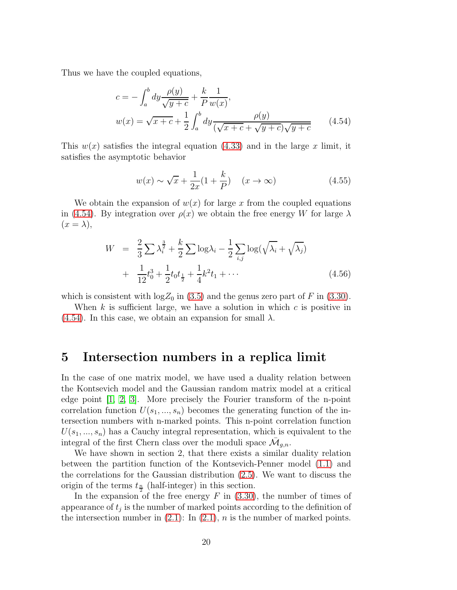Thus we have the coupled equations,

<span id="page-20-0"></span>
$$
c = -\int_{a}^{b} dy \frac{\rho(y)}{\sqrt{y+c}} + \frac{k}{P} \frac{1}{w(x)},
$$
  

$$
w(x) = \sqrt{x+c} + \frac{1}{2} \int_{a}^{b} dy \frac{\rho(y)}{(\sqrt{x+c} + \sqrt{y+c})\sqrt{y+c}}
$$
(4.54)

This  $w(x)$  satisfies the integral equation [\(4.33\)](#page-17-0) and in the large x limit, it satisfies the asymptotic behavior

$$
w(x) \sim \sqrt{x} + \frac{1}{2x}(1 + \frac{k}{P}) \quad (x \to \infty)
$$
\n(4.55)

We obtain the expansion of  $w(x)$  for large x from the coupled equations in [\(4.54\)](#page-20-0). By integration over  $\rho(x)$  we obtain the free energy W for large  $\lambda$  $(x = \lambda),$ 

$$
W = \frac{2}{3} \sum \lambda_i^{\frac{3}{2}} + \frac{k}{2} \sum \log \lambda_i - \frac{1}{2} \sum_{i,j} \log(\sqrt{\lambda_i} + \sqrt{\lambda_j}) + \frac{1}{12} t_0^3 + \frac{1}{2} t_0 t_{\frac{1}{2}} + \frac{1}{4} k^2 t_1 + \cdots
$$
 (4.56)

which is consistent with  $\log Z_0$  in [\(3.5\)](#page-7-3) and the genus zero part of F in [\(3.30\)](#page-10-0).

When  $k$  is sufficient large, we have a solution in which  $c$  is positive in  $(4.54)$ . In this case, we obtain an expansion for small  $\lambda$ .

### 5 Intersection numbers in a replica limit

In the case of one matrix model, we have used a duality relation between the Kontsevich model and the Gaussian random matrix model at a critical edge point [\[1,](#page-33-0) [2,](#page-33-1) [3\]](#page-33-2). More precisely the Fourier transform of the n-point correlation function  $U(s_1, ..., s_n)$  becomes the generating function of the intersection numbers with n-marked points. This n-point correlation function  $U(s_1, ..., s_n)$  has a Cauchy integral representation, which is equivalent to the integral of the first Chern class over the moduli space  $\bar{\mathcal{M}}_{g,n}$ .

We have shown in section 2, that there exists a similar duality relation between the partition function of the Kontsevich-Penner model [\(1.1\)](#page-1-0) and the correlations for the Gaussian distribution [\(2.5\)](#page-4-0). We want to discuss the origin of the terms  $t_{\frac{n}{2}}$  (half-integer) in this section.

In the expansion of the free energy  $F$  in  $(3.30)$ , the number of times of appearance of  $t_j$  is the number of marked points according to the definition of the intersection number in  $(2.1)$ : In  $(2.1)$ , n is the number of marked points.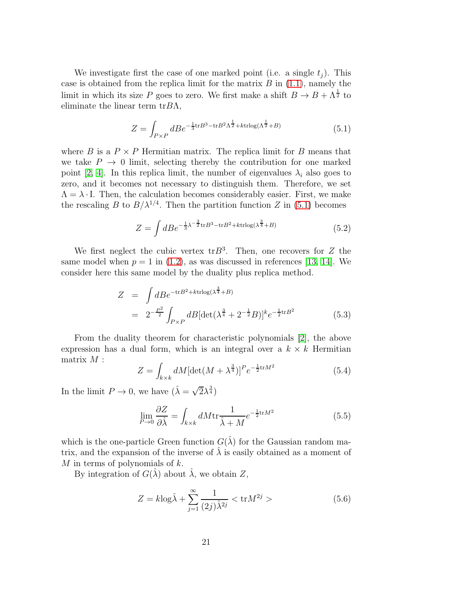We investigate first the case of one marked point (i.e. a single  $t_i$ ). This case is obtained from the replica limit for the matrix  $B$  in  $(1.1)$ , namely the limit in which its size P goes to zero. We first make a shift  $B \to B + \Lambda^{\frac{1}{2}}$  to eliminate the linear term  $trBA$ ,

<span id="page-21-0"></span>
$$
Z = \int_{P \times P} dBe^{-\frac{1}{3}\text{tr}B^3 - \text{tr}B^2\Lambda^{\frac{1}{2}} + k\text{trlog}(\Lambda^{\frac{1}{2}} + B)} \tag{5.1}
$$

where B is a  $P \times P$  Hermitian matrix. The replica limit for B means that we take  $P \rightarrow 0$  limit, selecting thereby the contribution for one marked point [\[2,](#page-33-1) [4\]](#page-33-3). In this replica limit, the number of eigenvalues  $\lambda_i$  also goes to zero, and it becomes not necessary to distinguish them. Therefore, we set  $\Lambda = \lambda \cdot I$ . Then, the calculation becomes considerably easier. First, we make the rescaling B to  $B/\lambda^{1/4}$ . Then the partition function Z in [\(5.1\)](#page-21-0) becomes

$$
Z = \int dB e^{-\frac{1}{3}\lambda^{-\frac{3}{2}}\text{tr}B^3 - \text{tr}B^2 + k\text{trlog}(\lambda^{\frac{3}{4}} + B)} \tag{5.2}
$$

We first neglect the cubic vertex  $trB^3$ . Then, one recovers for Z the same model when  $p = 1$  in [\(1.2\)](#page-1-1), as was discussed in references [\[13,](#page-33-12) [14\]](#page-33-13). We consider here this same model by the duality plus replica method.

$$
Z = \int dB e^{-\text{tr}B^2 + \text{krtlog}(\lambda^{\frac{3}{4}} + B)} = 2^{-\frac{P^2}{2}} \int_{P \times P} dB[\det(\lambda^{\frac{3}{4}} + 2^{-\frac{1}{2}}B)]^k e^{-\frac{1}{2}\text{tr}B^2}
$$
 (5.3)

From the duality theorem for characteristic polynomials [\[2\]](#page-33-1), the above expression has a dual form, which is an integral over a  $k \times k$  Hermitian matrix  $M$  :

$$
Z = \int_{k \times k} dM \left[ \det(M + \lambda^{\frac{3}{4}}) \right]^P e^{-\frac{1}{2} \text{tr} M^2}
$$
 (5.4)

In the limit  $P \to 0$ , we have  $(\hat{\lambda} = \sqrt{2\lambda^{\frac{3}{4}}})$ 

$$
\lim_{P \to 0} \frac{\partial Z}{\partial \hat{\lambda}} = \int_{k \times k} dM \text{tr} \frac{1}{\hat{\lambda} + M} e^{-\frac{1}{2} \text{tr} M^2}
$$
(5.5)

which is the one-particle Green function  $G(\hat{\lambda})$  for the Gaussian random matrix, and the expansion of the inverse of  $\lambda$  is easily obtained as a moment of M in terms of polynomials of  $k$ .

By integration of  $G(\lambda)$  about  $\lambda$ , we obtain Z,

<span id="page-21-1"></span>
$$
Z = k \log \hat{\lambda} + \sum_{j=1}^{\infty} \frac{1}{(2j)\hat{\lambda}^{2j}} < \text{tr} M^{2j} > \tag{5.6}
$$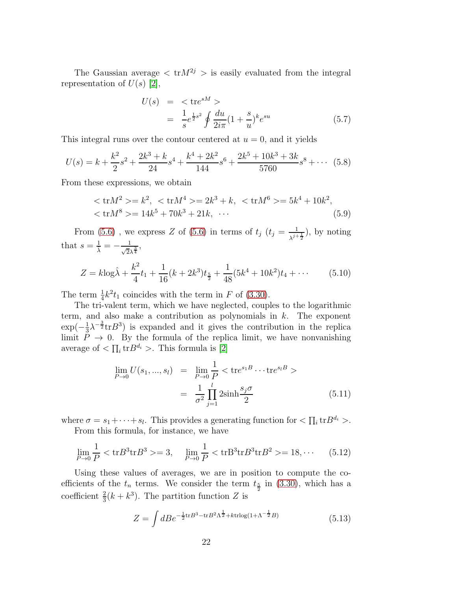The Gaussian average  $\langle \text{tr} M^{2j} \rangle$  is easily evaluated from the integral representation of  $U(s)$  [\[2\]](#page-33-1),

$$
U(s) = \langle \text{tr}e^{sM} \rangle
$$
  
=  $\frac{1}{s}e^{\frac{1}{2}s^2} \oint \frac{du}{2i\pi} (1 + \frac{s}{u})^k e^{su}$  (5.7)

This integral runs over the contour centered at  $u = 0$ , and it yields

$$
U(s) = k + \frac{k^2}{2}s^2 + \frac{2k^3 + k}{24}s^4 + \frac{k^4 + 2k^2}{144}s^6 + \frac{2k^5 + 10k^3 + 3k}{5760}s^8 + \cdots
$$
 (5.8)

From these expressions, we obtain

$$
\langle \text{tr} M^2 \rangle = k^2, \quad \langle \text{tr} M^4 \rangle = 2k^3 + k, \quad \langle \text{tr} M^6 \rangle = 5k^4 + 10k^2, \langle \text{tr} M^8 \rangle = 14k^5 + 70k^3 + 21k, \quad \cdots
$$
\n(5.9)

From [\(5.6\)](#page-21-1), we express Z of (5.6) in terms of  $t_j$   $(t_j = \frac{1}{\lambda^{j+1}})$  $\frac{1}{\lambda^{j+\frac{1}{2}}}$ , by noting that  $s=\frac{1}{\hat{\lambda}}=-\frac{1}{\sqrt{2}}$  $\frac{1}{\sqrt{2}\lambda^{\frac{3}{4}}},$ 

$$
Z = k \log \hat{\lambda} + \frac{k^2}{4} t_1 + \frac{1}{16} (k + 2k^3) t_{\frac{5}{2}} + \frac{1}{48} (5k^4 + 10k^2) t_4 + \cdots
$$
 (5.10)

The term  $\frac{1}{4}k^2t_1$  coincides with the term in F of [\(3.30\)](#page-10-0).

The tri-valent term, which we have neglected, couples to the logarithmic term, and also make a contribution as polynomials in  $k$ . The exponent  $\exp(-\frac{1}{3})$  $\frac{1}{3}\lambda^{-\frac{3}{2}}\text{tr}B^3$ ) is expanded and it gives the contribution in the replica limit  $P \to 0$ . By the formula of the replica limit, we have nonvanishing average of  $\langle \prod_i \text{tr}B^{d_i} \rangle$ . This formula is [\[2\]](#page-33-1)

<span id="page-22-0"></span>
$$
\lim_{P \to 0} U(s_1, ..., s_l) = \lim_{P \to 0} \frac{1}{P} < \text{tre}^{s_1 B} \cdots \text{tre}^{s_l B} > \n= \frac{1}{\sigma^2} \prod_{j=1}^l 2 \sinh \frac{s_j \sigma}{2}
$$
\n(5.11)

where  $\sigma = s_1 + \cdots + s_l$ . This provides a generating function for  $\langle \prod_i \text{tr} B^{d_i} \rangle$ . From this formula, for instance, we have

$$
\lim_{P \to 0} \frac{1}{P} < \text{tr} B^3 \text{tr} B^3 > = 3, \quad \lim_{P \to 0} \frac{1}{P} < \text{tr} B^3 \text{tr} B^3 \text{tr} B^2 > = 18, \cdots \tag{5.12}
$$

Using these values of averages, we are in position to compute the coefficients of the  $t_n$  terms. We consider the term  $t_{\frac{5}{2}}$  in [\(3.30\)](#page-10-0), which has a coefficient  $\frac{2}{3}(k+k^3)$ . The partition function Z is

$$
Z = \int dB e^{-\frac{1}{2}\text{tr}B^3 - \text{tr}B^2\Lambda^{\frac{1}{2}} + k\text{trlog}(1 + \Lambda^{-\frac{1}{2}}B)} \tag{5.13}
$$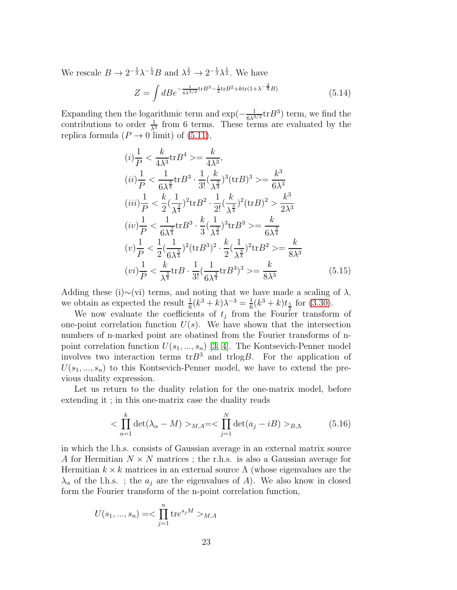We rescale  $B \to 2^{-\frac{1}{3}} \lambda^{-\frac{1}{4}} B$  and  $\lambda^{\frac{1}{2}} \to 2^{-\frac{1}{3}} \lambda^{\frac{1}{2}}$ . We have

$$
Z = \int dB e^{-\frac{1}{6\lambda^{3/2}} \text{tr}B^3 - \frac{1}{2} \text{tr}B^2 + k \text{tr}(1 + \lambda^{-\frac{3}{4}}B)} \tag{5.14}
$$

Expanding then the logarithmic term and  $\exp(-\frac{1}{6\lambda^{3/2}}\text{tr}B^3)$  term, we find the contributions to order  $\frac{1}{\lambda^3}$  from 6 terms. These terms are evaluated by the replica formula  $(P \to 0 \text{ limit})$  of  $(5.11)$ ,

$$
(i) \frac{1}{P} < \frac{k}{4\lambda^3} \text{tr} B^4 \geq \frac{k}{4\lambda^3},
$$
\n
$$
(ii) \frac{1}{P} < \frac{1}{6\lambda^{\frac{3}{4}}} \text{tr} B^3 \cdot \frac{1}{3!} \left(\frac{k}{\lambda^{\frac{3}{4}}}\right)^3 (\text{tr} B)^3 \geq \frac{k^3}{6\lambda^3}
$$
\n
$$
(iii) \frac{1}{P} < \frac{k}{2} \left(\frac{1}{\lambda^{\frac{3}{4}}}\right)^2 \text{tr} B^2 \cdot \frac{1}{2!} \left(\frac{k}{\lambda^{\frac{3}{4}}}\right)^2 (\text{tr} B)^2 > \frac{k^3}{2\lambda^3}
$$
\n
$$
(iv) \frac{1}{P} < \frac{1}{6\lambda^{\frac{3}{4}}} \text{tr} B^3 \cdot \frac{k}{3} \left(\frac{1}{\lambda^{\frac{3}{4}}}\right)^3 \text{tr} B^3 \geq \frac{k}{6\lambda^{\frac{3}{4}}}
$$
\n
$$
(v) \frac{1}{P} < \frac{1}{2} \left(\frac{1}{6\lambda^{\frac{3}{4}}}\right)^2 (\text{tr} B^3)^2 \cdot \frac{k}{2} \left(\frac{1}{\lambda^{\frac{3}{4}}}\right)^2 \text{tr} B^2 \geq \frac{k}{8\lambda^3}
$$
\n
$$
(vi) \frac{1}{P} < \frac{k}{\lambda^{\frac{3}{4}}} \text{tr} B \cdot \frac{1}{3!} \left(\frac{1}{6\lambda^{\frac{3}{4}}} \text{tr} B^3\right)^3 \geq \frac{k}{8\lambda^3}
$$
\n
$$
(5.15)
$$

Adding these (i)∼(vi) terms, and noting that we have made a scaling of  $\lambda$ , we obtain as expected the result  $\frac{1}{6}(k^3 + k)\lambda^{-3} = \frac{1}{6}$  $\frac{1}{6}(k^3+k)t_{\frac{5}{2}}$  for [\(3.30\)](#page-10-0).

We now evaluate the coefficients of  $t_j$  from the Fourier transform of one-point correlation function  $U(s)$ . We have shown that the intersection numbers of n-marked point are obatined from the Fourier transforms of npoint correlation function  $U(s_1, ..., s_n)$  [\[3,](#page-33-2) [4\]](#page-33-3). The Kontsevich-Penner model involves two interaction terms  $trB^3$  and  $trlogB$ . For the application of  $U(s_1, ..., s_n)$  to this Kontsevich-Penner model, we have to extend the previous duality expression.

Let us return to the duality relation for the one-matrix model, before extending it ; in this one-matrix case the duality reads

<span id="page-23-0"></span>
$$
\langle \prod_{\alpha=1}^{k} \det(\lambda_{\alpha} - M) \rangle_{M,A} = \langle \prod_{j=1}^{N} \det(a_{j} - iB) \rangle_{B,\Lambda} \tag{5.16}
$$

in which the l.h.s. consists of Gaussian average in an external matrix source A for Hermitian  $N \times N$  matrices; the r.h.s. is also a Gaussian average for Hermitian  $k \times k$  matrices in an external source  $\Lambda$  (whose eigenvalues are the  $\lambda_{\alpha}$  of the l.h.s.; the  $a_j$  are the eigenvalues of A). We also know in closed form the Fourier transform of the n-point correlation function,

$$
U(s_1, ..., s_n) = < \prod_{j=1}^n \text{tr} e^{s_j M} >_{M, A}
$$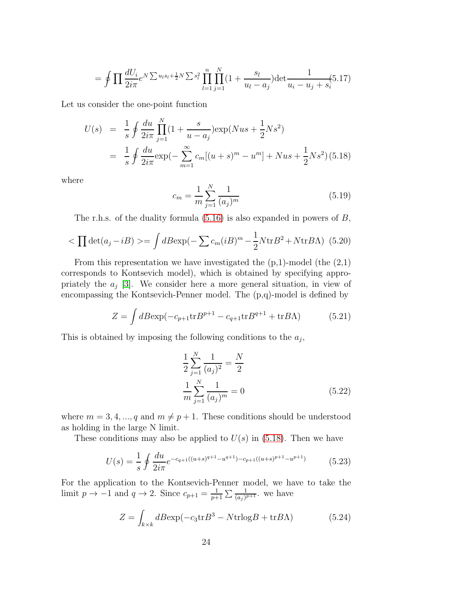$$
= \oint \prod \frac{dU_i}{2i\pi} e^{N \sum u_l s_l + \frac{1}{2}N \sum s_l^2} \prod_{l=1}^n \prod_{j=1}^N (1 + \frac{s_l}{u_l - a_j}) \det \frac{1}{u_i - u_j + s_i} (5.17)
$$

Let us consider the one-point function

<span id="page-24-0"></span>
$$
U(s) = \frac{1}{s} \oint \frac{du}{2i\pi} \prod_{j=1}^{N} (1 + \frac{s}{u - a_j}) \exp(Nus + \frac{1}{2}Ns^2)
$$
  
= 
$$
\frac{1}{s} \oint \frac{du}{2i\pi} \exp(-\sum_{m=1}^{\infty} c_m [(u + s)^m - u^m] + Nus + \frac{1}{2}Ns^2) (5.18)
$$

where

$$
c_m = \frac{1}{m} \sum_{j=1}^{N} \frac{1}{(a_j)^m}
$$
\n(5.19)

The r.h.s. of the duality formula  $(5.16)$  is also expanded in powers of  $B$ ,

$$
\langle \prod \det(a_j - iB) \rangle = \int dB \exp(-\sum c_m (iB)^m - \frac{1}{2} N \text{tr} B^2 + N \text{tr} B \Lambda) \tag{5.20}
$$

From this representation we have investigated the  $(p,1)$ -model (the  $(2,1)$ ) corresponds to Kontsevich model), which is obtained by specifying appropriately the  $a_j$  [\[3\]](#page-33-2). We consider here a more general situation, in view of encompassing the Kontsevich-Penner model. The (p,q)-model is defined by

<span id="page-24-1"></span>
$$
Z = \int dB \exp(-c_{p+1} \text{tr} B^{p+1} - c_{q+1} \text{tr} B^{q+1} + \text{tr} B \Lambda)
$$
 (5.21)

This is obtained by imposing the following conditions to the  $a_j$ ,

$$
\frac{1}{2} \sum_{j=1}^{N} \frac{1}{(a_j)^2} = \frac{N}{2}
$$

$$
\frac{1}{m} \sum_{j=1}^{N} \frac{1}{(a_j)^m} = 0
$$
(5.22)

where  $m = 3, 4, ..., q$  and  $m \neq p + 1$ . These conditions should be understood as holding in the large N limit.

These conditions may also be applied to  $U(s)$  in [\(5.18\)](#page-24-0). Then we have

$$
U(s) = \frac{1}{s} \oint \frac{du}{2i\pi} e^{-c_{q+1}((u+s)^{q+1} - u^{q+1}) - c_{p+1}((u+s)^{p+1} - u^{p+1})}
$$
(5.23)

For the application to the Kontsevich-Penner model, we have to take the limit  $p \to -1$  and  $q \to 2$ . Since  $c_{p+1} = \frac{1}{p+1}$  $\frac{1}{p+1}\sum \frac{1}{(a_j)^{p+1}}$ , we have

$$
Z = \int_{k \times k} dB \exp(-c_3 \text{tr} B^3 - N \text{tr} \log B + \text{tr} B \Lambda) \tag{5.24}
$$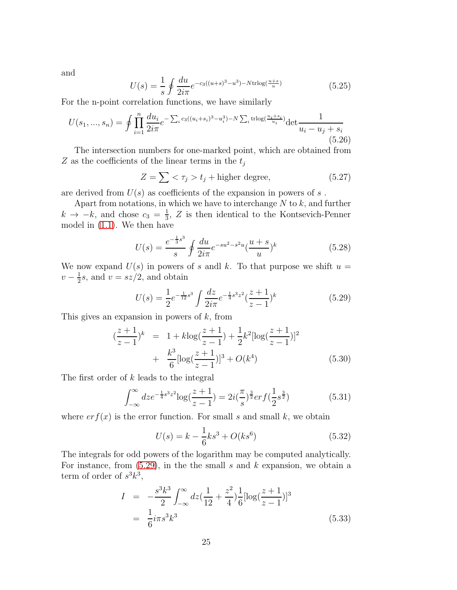and

$$
U(s) = \frac{1}{s} \oint \frac{du}{2i\pi} e^{-c_3((u+s)^3 - u^3) - N \text{trlog}(\frac{u+s}{u})}
$$
(5.25)

For the n-point correlation functions, we have similarly

<span id="page-25-3"></span>
$$
U(s_1, ..., s_n) = \oint \prod_{i=1}^n \frac{du_i}{2i\pi} e^{-\sum_i c_3((u_i + s_i)^3 - u_i^3) - N\sum_i \text{trlog}(\frac{u_i + s_i}{u_i})} \det \frac{1}{u_i - u_j + s_i}
$$
(5.26)

The intersection numbers for one-marked point, which are obtained from  $Z$  as the coefficients of the linear terms in the  $t_j$ 

$$
Z = \sum \langle \tau_j > t_j + \text{higher degree}, \tag{5.27}
$$

are derived from  $U(s)$  as coefficients of the expansion in powers of s.

Apart from notations, in which we have to interchange  $N$  to  $k$ , and further  $k \rightarrow -k$ , and chose  $c_3 = \frac{1}{3}$  $\frac{1}{3}$ , Z is then identical to the Kontsevich-Penner model in [\(1.1\)](#page-1-0). We then have

$$
U(s) = \frac{e^{-\frac{1}{3}s^3}}{s} \oint \frac{du}{2i\pi} e^{-su^2 - s^2u} \left(\frac{u+s}{u}\right)^k
$$
 (5.28)

We now expand  $U(s)$  in powers of s and k. To that purpose we shift  $u =$  $v-\frac{1}{2}$  $\frac{1}{2}s$ , and  $v = sz/2$ , and obtain

<span id="page-25-0"></span>
$$
U(s) = \frac{1}{2}e^{-\frac{1}{12}s^3} \int \frac{dz}{2i\pi} e^{-\frac{1}{4}s^3z^2} (\frac{z+1}{z-1})^k
$$
 (5.29)

This gives an expansion in powers of  $k$ , from

$$
\left(\frac{z+1}{z-1}\right)^k = 1 + k \log\left(\frac{z+1}{z-1}\right) + \frac{1}{2}k^2[\log\left(\frac{z+1}{z-1}\right)]^2
$$

$$
+ \frac{k^3}{6}[\log\left(\frac{z+1}{z-1}\right)]^3 + O(k^4)
$$
(5.30)

The first order of k leads to the integral

$$
\int_{-\infty}^{\infty} dz e^{-\frac{1}{4}s^3 z^2} \log(\frac{z+1}{z-1}) = 2i(\frac{\pi}{s})^{\frac{3}{2}} erf(\frac{1}{2}s^{\frac{3}{2}})
$$
(5.31)

where  $erf(x)$  is the error function. For small s and small k, we obtain

<span id="page-25-1"></span>
$$
U(s) = k - \frac{1}{6}ks^3 + O(ks^6)
$$
 (5.32)

The integrals for odd powers of the logarithm may be computed analytically. For instance, from  $(5.29)$ , in the small s and k expansion, we obtain a term of order of  $s^3k^3$ ,

<span id="page-25-2"></span>
$$
I = -\frac{s^3 k^3}{2} \int_{-\infty}^{\infty} dz \left(\frac{1}{12} + \frac{z^2}{4}\right) \frac{1}{6} [\log(\frac{z+1}{z-1})]^3
$$
  
=  $\frac{1}{6} i\pi s^3 k^3$  (5.33)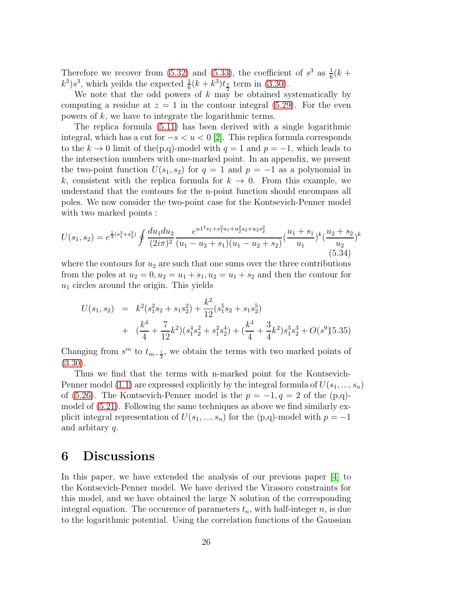Therefore we recover from [\(5.32\)](#page-25-1) and [\(5.33\)](#page-25-2), the coefficient of  $s^3$  as  $\frac{1}{6}(k +$  $(k^3) s^3$ , which yeilds the expected  $\frac{1}{6}(k+k^3)t_{\frac{5}{2}}$  term in [\(3.30\)](#page-10-0).

We note that the odd powers of  $k$  may be obtained systematically by computing a residue at  $z = 1$  in the contour integral [\(5.29\)](#page-25-0). For the even powers of k, we have to integrate the logarithmic terms.

The replica formula [\(5.11\)](#page-22-0) has been derived with a single logarithmic integral, which has a cut for  $-s < u < 0$  [\[2\]](#page-33-1). This replica formula corresponds to the  $k \to 0$  limit of the(p,q)-model with  $q = 1$  and  $p = -1$ , which leads to the intersection numbers with one-marked point. In an appendix, we present the two-point function  $U(s_1, s_2)$  for  $q = 1$  and  $p = -1$  as a polynomial in k, consistent with the replica formula for  $k \to 0$ . From this example, we understand that the contours for the n-point function should encompass all poles. We now consider the two-point case for the Kontsevich-Penner model with two marked points :

$$
U(s_1, s_2) = e^{\frac{1}{3}(s_1^3 + s_2^3)} \oint \frac{du_1 du_2}{(2i\pi)^2} \frac{e^{u_1^2 s_1 + s_1^2 u_1 + u_2^2 s_2 + u_2 s_2^2}}{(u_1 - u_2 + s_1)(u_1 - u_2 + s_2)} \left(\frac{u_1 + s_1}{u_1}\right)^k \left(\frac{u_2 + s_2}{u_2}\right)^k
$$
\n(5.34)

where the contours for  $u_2$  are such that one sums over the three contributions from the poles at  $u_2 = 0, u_2 = u_1 + s_1, u_2 = u_1 + s_2$  and then the contour for  $u_1$  circles around the origin. This yields

$$
U(s_1, s_2) = k^2(s_1^2 s_2 + s_1 s_2^2) + \frac{k^2}{12}(s_1^5 s_2 + s_1 s_2^5)
$$
  
+ 
$$
(\frac{k^4}{4} + \frac{7}{12}k^2)(s_1^4 s_2^2 + s_1^2 s_2^4) + (\frac{k^4}{4} + \frac{3}{4}k^2)s_1^3 s_2^3 + O(s^9)(5.35)
$$

Changing from  $s^m$  to  $t_{m-\frac{1}{2}}$ , we obtain the terms with two marked points of [\(3.30\)](#page-10-0).

Thus we find that the terms with n-marked point for the Kontsevich-Penner model [\(1.1\)](#page-1-0) are expressed explicitly by the integral formula of  $U(s_1, ..., s_n)$ of [\(5.26\)](#page-25-3). The Kontsevich-Penner model is the  $p = -1, q = 2$  of the (p,q)model of [\(5.21\)](#page-24-1). Following the same techniques as above we find similarly explicit integral representation of  $U(s_1, ..., s_n)$  for the (p,q)-model with  $p = -1$ and arbitary q.

## 6 Discussions

In this paper, we have extended the analysis of our previous paper [\[4\]](#page-33-3) to the Kontsevich-Penner model. We have derived the Virasoro constraints for this model, and we have obtained the large N solution of the corresponding integral equation. The occurence of parameters  $t_n$ , with half-integer n, is due to the logarithmic potential. Using the correlation functions of the Gaussian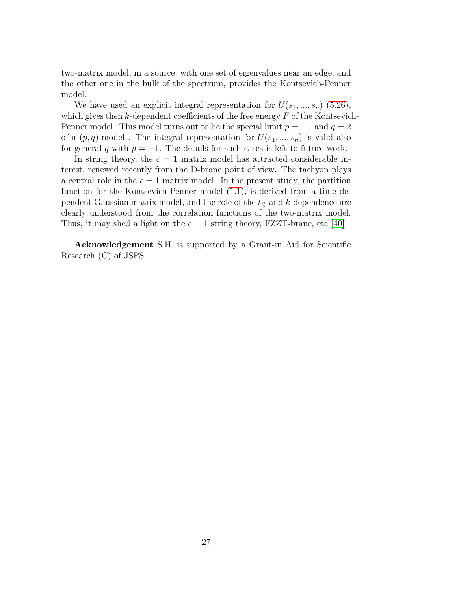two-matrix model, in a source, with one set of eigenvalues near an edge, and the other one in the bulk of the spectrum, provides the Kontsevich-Penner model.

We have used an explicit integral representation for  $U(s_1, ..., s_n)$  [\(5.26\)](#page-25-3), which gives then  $k$ -dependent coefficients of the free energy  $F$  of the Kontsevich-Penner model. This model turns out to be the special limit  $p = -1$  and  $q = 2$ of a  $(p, q)$ -model. The integral representation for  $U(s_1, ..., s_n)$  is valid also for general q with  $p = -1$ . The details for such cases is left to future work.

In string theory, the  $c = 1$  matrix model has attracted considerable interest, renewed recently from the D-brane point of view. The tachyon plays a central role in the  $c = 1$  matrix model. In the present study, the partition function for the Kontsevich-Penner model [\(1.1\)](#page-1-0), is derived from a time dependent Gaussian matrix model, and the role of the  $t_{\frac{n}{2}}$  and k-dependence are clearly understood from the correlation functions of the two-matrix model. Thus, it may shed a light on the  $c = 1$  string theory, FZZT-brane, etc [\[40\]](#page-35-0).

Acknowledgement S.H. is supported by a Grant-in Aid for Scientific Research (C) of JSPS.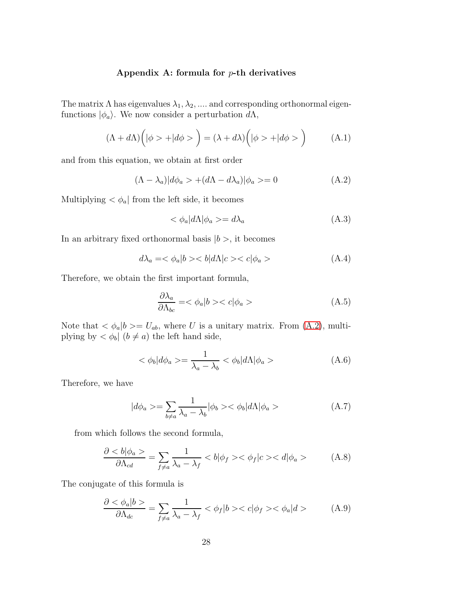### Appendix A: formula for  $p$ -th derivatives

The matrix  $\Lambda$  has eigenvalues  $\lambda_1, \lambda_2, \dots$  and corresponding orthonormal eigenfunctions  $|\phi_a\rangle$ . We now consider a perturbation d $\Lambda$ ,

$$
(\Lambda + d\Lambda) \left( |\phi \rangle + |d\phi \rangle \right) = (\lambda + d\lambda) \left( |\phi \rangle + |d\phi \rangle \right) \tag{A.1}
$$

and from this equation, we obtain at first order

$$
(\Lambda - \lambda_a)|d\phi_a\rangle + (d\Lambda - d\lambda_a)|\phi_a\rangle = 0
$$
\n(A.2)

Multiplying  $\langle \phi_a |$  from the left side, it becomes

$$
\langle \phi_a | d\Lambda | \phi_a \rangle = d\lambda_a \tag{A.3}
$$

In an arbitrary fixed orthonormal basis  $|b\rangle$ , it becomes

$$
d\lambda_a = \langle \phi_a | b \rangle < b | d\Lambda | c \rangle < c | \phi_a \rangle \tag{A.4}
$$

Therefore, we obtain the first important formula,

$$
\frac{\partial \lambda_a}{\partial \Lambda_{bc}} = \langle \phi_a | b \rangle < c | \phi_a \rangle \tag{A.5}
$$

Note that  $\langle \phi_a | b \rangle = U_{ab}$ , where U is a unitary matrix. From [\(A.2\)](#page-31-0), multiplying by  $\langle \phi_b | (b \neq a) \rangle$  the left hand side,

$$
\langle \phi_b | d\phi_a \rangle = \frac{1}{\lambda_a - \lambda_b} \langle \phi_b | d\Lambda | \phi_a \rangle \tag{A.6}
$$

Therefore, we have

$$
|d\phi_a\rangle = \sum_{b \neq a} \frac{1}{\lambda_a - \lambda_b} |\phi_b\rangle \langle \phi_b| d\Lambda |\phi_a\rangle \tag{A.7}
$$

from which follows the second formula,

$$
\frac{\partial < b|\phi_a>}{\partial \Lambda_{cd}} = \sum_{f \neq a} \frac{1}{\lambda_a - \lambda_f} < b|\phi_f>< \phi_f|c>< d|\phi_a>\tag{A.8}
$$

The conjugate of this formula is

$$
\frac{\partial < \phi_a|b>}{\partial \Lambda_{dc}} = \sum_{f \neq a} \frac{1}{\lambda_a - \lambda_f} < \phi_f|b> < c|\phi_f>< \phi_a|d> \tag{A.9}
$$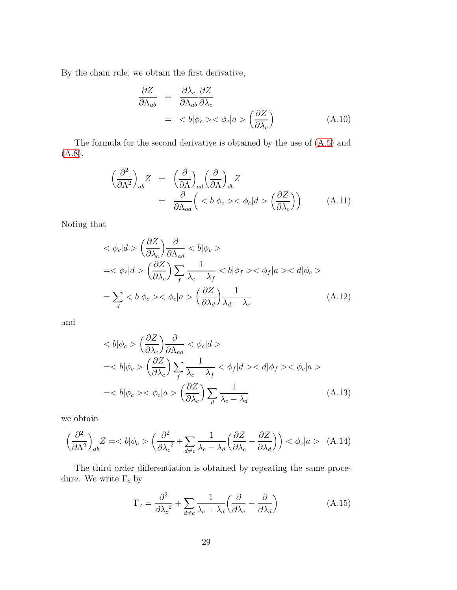By the chain rule, we obtain the first derivative,

$$
\frac{\partial Z}{\partial \Lambda_{ab}} = \frac{\partial \lambda_c}{\partial \Lambda_{ab}} \frac{\partial Z}{\partial \lambda_c} \n= \langle b | \phi_c \rangle \langle \phi_c | a \rangle \left( \frac{\partial Z}{\partial \lambda_c} \right)
$$
\n(A.10)

The formula for the second derivative is obtained by the use of [\(A.5\)](#page-31-1) and [\(A.8\)](#page-32-0).

$$
\begin{aligned}\n\left(\frac{\partial^2}{\partial \Lambda^2}\right)_{ab} Z &= \left(\frac{\partial}{\partial \Lambda}\right)_{ad} \left(\frac{\partial}{\partial \Lambda}\right)_{db} Z \\
&= \left(\frac{\partial}{\partial \Lambda_{ad}} \left( \langle b | \phi_c \rangle \langle \phi_c | d \rangle \left(\frac{\partial Z}{\partial \lambda_c}\right) \right)\right) \tag{A.11}\n\end{aligned}
$$

Noting that

$$
\langle \phi_c | d \rangle \left( \frac{\partial Z}{\partial \lambda_c} \right) \frac{\partial}{\partial \Lambda_{ad}} \langle b | \phi_c \rangle
$$
  
= $\langle \phi_c | d \rangle \left( \frac{\partial Z}{\partial \lambda_c} \right) \sum_f \frac{1}{\lambda_c - \lambda_f} \langle b | \phi_f \rangle \langle \phi_f | a \rangle \langle d | \phi_c \rangle$   
= $\sum_d \langle b | \phi_c \rangle \langle \phi_c | a \rangle \left( \frac{\partial Z}{\partial \lambda_d} \right) \frac{1}{\lambda_d - \lambda_c}$  (A.12)

and

$$
\langle b|\phi_c\rangle \left(\frac{\partial Z}{\partial \lambda_c}\right) \frac{\partial}{\partial \Lambda_{ad}} < \phi_c|d\rangle
$$
  
=
$$
\langle b|\phi_c\rangle \left(\frac{\partial Z}{\partial \lambda_c}\right) \sum_f \frac{1}{\lambda_c - \lambda_f} < \phi_f|d\rangle < d|\phi_f\rangle < \phi_c|a\rangle
$$
  
=
$$
\langle b|\phi_c\rangle < \phi_c|a\rangle \left(\frac{\partial Z}{\partial \lambda_c}\right) \sum_d \frac{1}{\lambda_c - \lambda_d}
$$
(A.13)

we obtain

$$
\left(\frac{\partial^2}{\partial \Lambda^2}\right)_{ab} Z = \langle b|\phi_c\rangle \left(\frac{\partial^2}{\partial \lambda_c^2} + \sum_{d \neq c} \frac{1}{\lambda_c - \lambda_d} \left(\frac{\partial Z}{\partial \lambda_c} - \frac{\partial Z}{\partial \lambda_d}\right)\right) < \phi_c|a\rangle \tag{A.14}
$$

The third order differentiation is obtained by repeating the same procedure. We write  $\Gamma_c$  by

$$
\Gamma_c = \frac{\partial^2}{\partial \lambda_c^2} + \sum_{d \neq c} \frac{1}{\lambda_c - \lambda_d} \left( \frac{\partial}{\partial \lambda_c} - \frac{\partial}{\partial \lambda_d} \right) \tag{A.15}
$$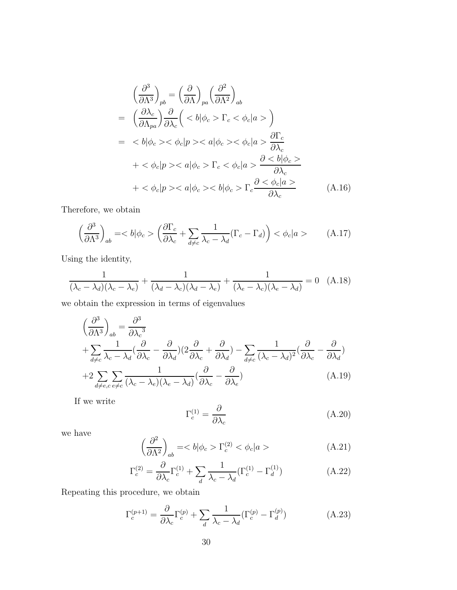$$
\left(\frac{\partial^3}{\partial \Lambda^3}\right)_{pb} = \left(\frac{\partial}{\partial \Lambda}\right)_{pa} \left(\frac{\partial^2}{\partial \Lambda^2}\right)_{ab}
$$
\n
$$
= \left(\frac{\partial \lambda_c}{\partial \Lambda_{pa}}\right) \frac{\partial}{\partial \lambda_c} \left( \Gamma_c < \phi_c | a > \right)
$$
\n
$$
= < \phi_c | p > < \phi\_c | a > \frac{\partial \Gamma\_c}{\partial \lambda\_c}
$$
\n
$$
+ <\phi_c | p > \Gamma\_c < \phi\_c | a > \frac{\partial }{\partial \lambda\_c}
$$
\n
$$
+ <\phi_c | p > \Gamma\_c \frac{\partial <\phi\_c | a >}{\partial \lambda\_c}
$$
\n(A.16)

Therefore, we obtain

$$
\left(\frac{\partial^3}{\partial \Lambda^3}\right)_{ab} = | \phi_c> \left(\frac{\partial \Gamma_c}{\partial \lambda_c} + \sum_{d \neq c} \frac{1}{\lambda_c - \lambda_d} (\Gamma_c - \Gamma_d) \right) < \phi_c | a > \tag{A.17}
$$

Using the identity,

$$
\frac{1}{(\lambda_c - \lambda_d)(\lambda_c - \lambda_e)} + \frac{1}{(\lambda_d - \lambda_c)(\lambda_d - \lambda_e)} + \frac{1}{(\lambda_e - \lambda_c)(\lambda_e - \lambda_d)} = 0
$$
 (A.18)

we obtain the expression in terms of eigenvalues

$$
\left(\frac{\partial^3}{\partial \Lambda^3}\right)_{ab} = \frac{\partial^3}{\partial \lambda_c^3} \n+ \sum_{d \neq c} \frac{1}{\lambda_c - \lambda_d} \left(\frac{\partial}{\partial \lambda_c} - \frac{\partial}{\partial \lambda_d}\right) \left(2\frac{\partial}{\partial \lambda_c} + \frac{\partial}{\partial \lambda_d}\right) - \sum_{d \neq c} \frac{1}{(\lambda_c - \lambda_d)^2} \left(\frac{\partial}{\partial \lambda_c} - \frac{\partial}{\partial \lambda_d}\right) \n+ 2 \sum_{d \neq e, c} \sum_{e \neq c} \frac{1}{(\lambda_c - \lambda_e)(\lambda_e - \lambda_d)} \left(\frac{\partial}{\partial \lambda_c} - \frac{\partial}{\partial \lambda_e}\right)
$$
\n(A.19)

If we write

$$
\Gamma_c^{(1)} = \frac{\partial}{\partial \lambda_c} \tag{A.20}
$$

we have

$$
\left(\frac{\partial^2}{\partial \Lambda^2}\right)_{ab} = | \phi_c> \Gamma_c^{(2)} < \phi_c | a> \tag{A.21}
$$

$$
\Gamma_c^{(2)} = \frac{\partial}{\partial \lambda_c} \Gamma_c^{(1)} + \sum_d \frac{1}{\lambda_c - \lambda_d} (\Gamma_c^{(1)} - \Gamma_d^{(1)}) \tag{A.22}
$$

Repeating this procedure, we obtain

$$
\Gamma_c^{(p+1)} = \frac{\partial}{\partial \lambda_c} \Gamma_c^{(p)} + \sum_d \frac{1}{\lambda_c - \lambda_d} (\Gamma_c^{(p)} - \Gamma_d^{(p)})
$$
(A.23)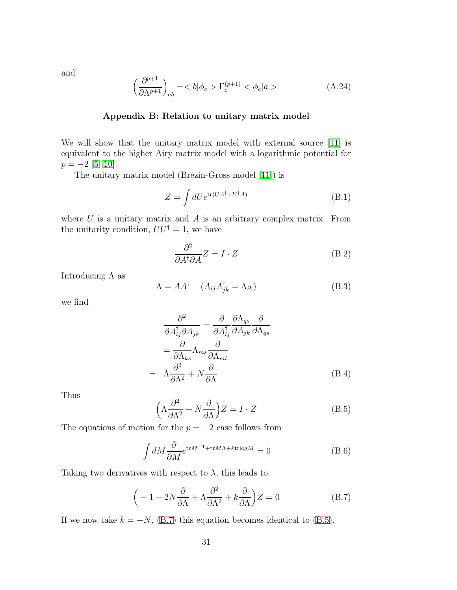and

$$
\left(\frac{\partial^{p+1}}{\partial \Lambda^{p+1}}\right)_{ab} = \langle b|\phi_c\rangle \Gamma_c^{(p+1)} < \phi_c|a\rangle \tag{A.24}
$$

#### Appendix B: Relation to unitary matrix model

We will show that the unitary matrix model with external source [\[11\]](#page-33-10) is equivalent to the higher Airy matrix model with a logarithmic potential for  $p = -2$  [\[5,](#page-33-4) [10\]](#page-33-9).

The unitary matrix model (Brezin-Gross model [\[11\]](#page-33-10)) is

$$
Z = \int dU e^{\text{tr}(UA^{\dagger} + U^{\dagger} A)} \tag{B.1}
$$

where  $U$  is a unitary matrix and  $A$  is an arbitrary complex matrix. From the unitarity condition,  $UU^{\dagger} = 1$ , we have

<span id="page-31-0"></span>
$$
\frac{\partial^2}{\partial A^\dagger \partial A} Z = I \cdot Z \tag{B.2}
$$

Introducing  $\Lambda$  as

$$
\Lambda = AA^{\dagger} \quad (A_{ij}A_{jk}^{\dagger} = \Lambda_{ik})
$$
 (B.3)

we find

$$
\frac{\partial^2}{\partial A_{ij}^\dagger \partial A_{jk}} = \frac{\partial}{\partial A_{ij}^\dagger} \frac{\partial \Lambda_{qs}}{\partial A_{jk}} \frac{\partial}{\partial \Lambda_{qs}}
$$

$$
= \frac{\partial}{\partial \Lambda_{ks}} \Lambda_{ms} \frac{\partial}{\partial \Lambda_{mi}}
$$

$$
= \Lambda \frac{\partial^2}{\partial \Lambda^2} + N \frac{\partial}{\partial \Lambda}
$$
(B.4)

Thus

<span id="page-31-1"></span>
$$
\left(\Lambda \frac{\partial^2}{\partial \Lambda^2} + N \frac{\partial}{\partial \Lambda}\right) Z = I \cdot Z \tag{B.5}
$$

The equations of motion for the  $p = -2$  case follows from

$$
\int dM \frac{\partial}{\partial M} e^{\text{tr}M^{-1} + \text{tr}M\Lambda + k\text{trlog}M} = 0
$$
 (B.6)

Taking two derivatives with respect to  $\lambda$ , this leads to

<span id="page-31-2"></span>
$$
\left(-1+2N\frac{\partial}{\partial\Lambda} + \Lambda\frac{\partial^2}{\partial\Lambda^2} + k\frac{\partial}{\partial\Lambda}\right)Z = 0
$$
 (B.7)

If we now take  $k = -N$ , [\(B.7\)](#page-31-2) this equation becomes identical to [\(B.5\)](#page-31-1).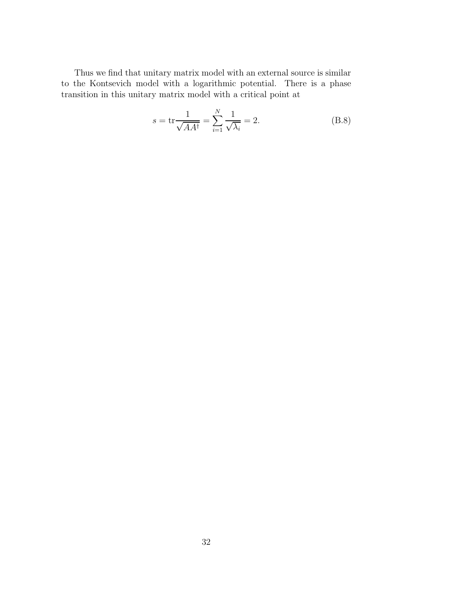Thus we find that unitary matrix model with an external source is similar to the Kontsevich model with a logarithmic potential. There is a phase transition in this unitary matrix model with a critical point at

<span id="page-32-0"></span>
$$
s = \text{tr}\frac{1}{\sqrt{AA^{\dagger}}} = \sum_{i=1}^{N} \frac{1}{\sqrt{\lambda_i}} = 2.
$$
 (B.8)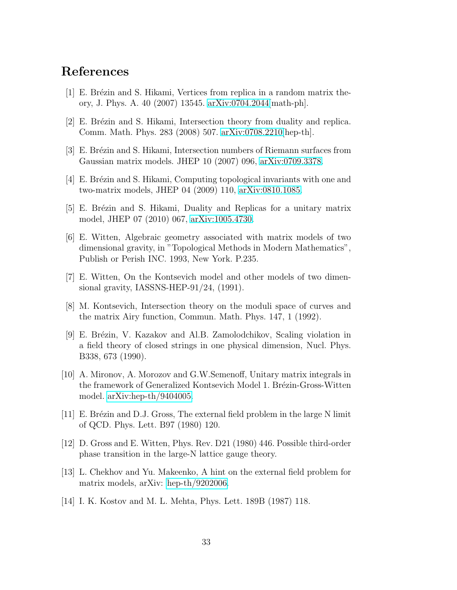# <span id="page-33-0"></span>References

- <span id="page-33-1"></span> $[1]$  E. Brézin and S. Hikami, Vertices from replica in a random matrix theory, J. Phys. A. 40 (2007) 13545. [arXiv:0704.2044\[](http://arxiv.org/abs/0704.2044)math-ph].
- <span id="page-33-2"></span>[2] E. Brézin and S. Hikami, Intersection theory from duality and replica. Comm. Math. Phys. 283 (2008) 507. [arXiv:0708.2210\[](http://arxiv.org/abs/0708.2210)hep-th].
- <span id="page-33-3"></span>[3] E. Brézin and S. Hikami, Intersection numbers of Riemann surfaces from Gaussian matrix models. JHEP 10 (2007) 096, [arXiv:0709.3378.](http://arxiv.org/abs/0709.3378)
- <span id="page-33-4"></span>[4] E. Brézin and S. Hikami, Computing topological invariants with one and two-matrix models, JHEP 04 (2009) 110, [arXiv:0810.1085.](http://arxiv.org/abs/0810.1085)
- <span id="page-33-5"></span>[5] E. Brézin and S. Hikami, Duality and Replicas for a unitary matrix model, JHEP 07 (2010) 067, [arXiv:1005.4730.](http://arxiv.org/abs/1005.4730)
- [6] E. Witten, Algebraic geometry associated with matrix models of two dimensional gravity, in "Topological Methods in Modern Mathematics", Publish or Perish INC. 1993, New York. P.235.
- <span id="page-33-7"></span><span id="page-33-6"></span>[7] E. Witten, On the Kontsevich model and other models of two dimensional gravity, IASSNS-HEP-91/24, (1991).
- [8] M. Kontsevich, Intersection theory on the moduli space of curves and the matrix Airy function, Commun. Math. Phys. 147, 1 (1992).
- <span id="page-33-8"></span>[9] E. Brézin, V. Kazakov and Al.B. Zamolodchikov, Scaling violation in a field theory of closed strings in one physical dimension, Nucl. Phys. B338, 673 (1990).
- <span id="page-33-9"></span>[10] A. Mironov, A. Morozov and G.W.Semenoff, Unitary matrix integrals in the framework of Generalized Kontsevich Model 1. Brézin-Gross-Witten model. [arXiv:hep-th/9404005.](http://arxiv.org/abs/hep-th/9404005)
- <span id="page-33-10"></span>[11] E. Br´ezin and D.J. Gross, The external field problem in the large N limit of QCD. Phys. Lett. B97 (1980) 120.
- <span id="page-33-11"></span>[12] D. Gross and E. Witten, Phys. Rev. D21 (1980) 446. Possible third-order phase transition in the large-N lattice gauge theory.
- <span id="page-33-12"></span>[13] L. Chekhov and Yu. Makeenko, A hint on the external field problem for matrix models, arXiv: [hep-th/9202006.](http://arxiv.org/abs/hep-th/9202006)
- <span id="page-33-13"></span>[14] I. K. Kostov and M. L. Mehta, Phys. Lett. 189B (1987) 118.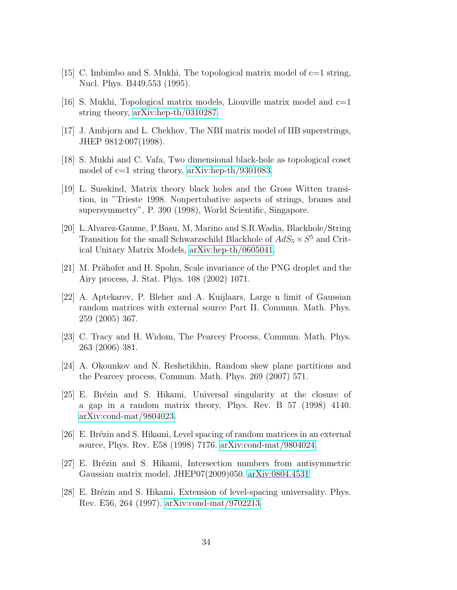- <span id="page-34-1"></span><span id="page-34-0"></span>[15] C. Imbimbo and S. Mukhi, The topological matrix model of c=1 string, Nucl. Phys. B449,553 (1995).
- <span id="page-34-2"></span>[16] S. Mukhi, Topological matrix models, Liouville matrix model and  $c=1$ string theory, [arXiv:hep-th/0310287.](http://arxiv.org/abs/hep-th/0310287)
- [17] J. Ambjorn and L. Chekhov, The NBI matrix model of IIB superstrings, JHEP 9812:007(1998).
- <span id="page-34-3"></span>[18] S. Mukhi and C. Vafa, Two dimensional black-hole as topological coset model of c=1 string theory, [arXiv:hep-th/9301083.](http://arxiv.org/abs/hep-th/9301083)
- [19] L. Susskind, Matrix theory black holes and the Gross Witten transition, in "Trieste 1998. Nonpertubative aspects of strings, branes and supersymmetry", P. 390 (1998), World Scientific, Singapore.
- <span id="page-34-4"></span>[20] L.Alvarez-Gaume, P.Basu, M, Marino and S.R.Wadia, Blackhole/String Transition for the small Schwarzschild Blackhole of  $AdS_5 \times S^5$  and Critical Unitary Matrix Models, [arXiv:hep-th/0605041.](http://arxiv.org/abs/hep-th/0605041)
- <span id="page-34-6"></span><span id="page-34-5"></span>[21] M. Prähofer and H. Spohn, Scale invariance of the PNG droplet and the Airy process, J. Stat. Phys. 108 (2002) 1071.
- [22] A. Aptekarev, P. Bleher and A. Kuijlaars, Large n limit of Gaussian random matrices with external source Part II. Commun. Math. Phys. 259 (2005) 367.
- <span id="page-34-8"></span><span id="page-34-7"></span>[23] C. Tracy and H. Widom, The Pearcey Process, Commun. Math. Phys. 263 (2006) 381.
- <span id="page-34-9"></span>[24] A. Okounkov and N. Reshetikhin, Random skew plane partitions and the Pearcey process, Commun. Math. Phys. 269 (2007) 571.
- [25] E. Brézin and S. Hikami, Universal singularity at the closure of a gap in a random matrix theory, Phys. Rev. B 57 (1998) 4140. [arXiv:cond-mat/9804023.](http://arxiv.org/abs/cond-mat/9804023)
- <span id="page-34-10"></span>[26] E. Br´ezin and S. Hikami, Level spacing of random matrices in an external source, Phys. Rev. E58 (1998) 7176. [arXiv:cond-mat/9804024.](http://arxiv.org/abs/cond-mat/9804024)
- <span id="page-34-11"></span>[27] E. Brézin and S. Hikami, Intersection numbers from antisymmetric Gaussian matrix model, JHEP07(2009)050. [arXiv:0804.4531](http://arxiv.org/abs/0804.4531)
- [28] E. Brézin and S. Hikami, Extension of level-spacing universality. Phys. Rev. E56, 264 (1997). [arXiv:cond-mat/9702213.](http://arxiv.org/abs/cond-mat/9702213)